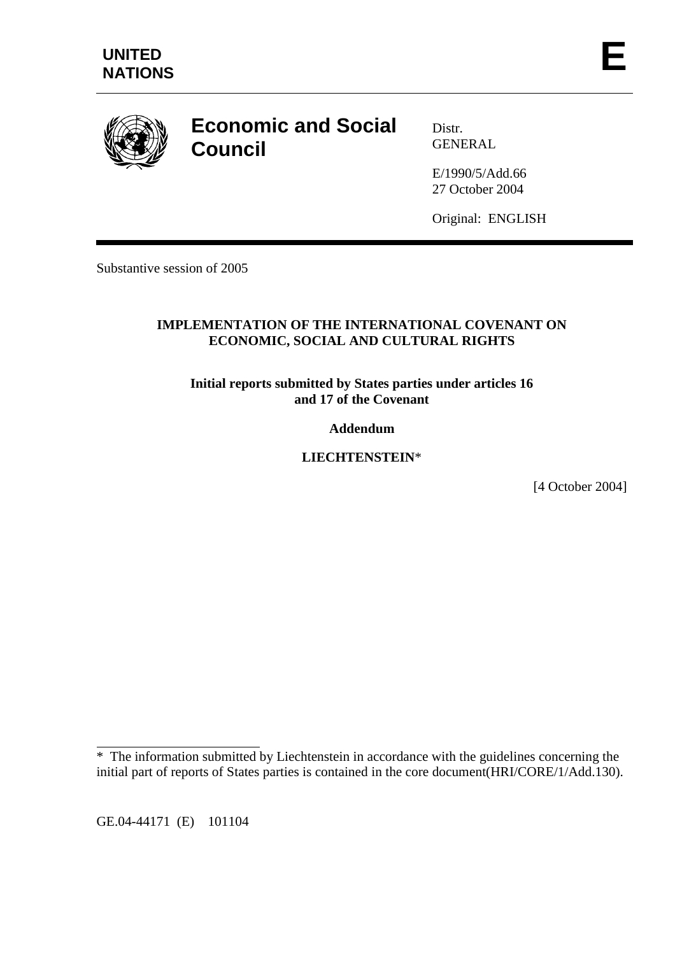

# **Economic and Social Council**

Distr. GENERAL

E/1990/5/Add.66 27 October 2004

Original: ENGLISH

Substantive session of 2005

## **IMPLEMENTATION OF THE INTERNATIONAL COVENANT ON ECONOMIC, SOCIAL AND CULTURAL RIGHTS**

**Initial reports submitted by States parties under articles 16 and 17 of the Covenant** 

**Addendum** 

**LIECHTENSTEIN**\*

[4 October 2004]

GE.04-44171 (E) 101104

 $\overline{a}$ 

<sup>\*</sup> The information submitted by Liechtenstein in accordance with the guidelines concerning the initial part of reports of States parties is contained in the core document(HRI/CORE/1/Add.130).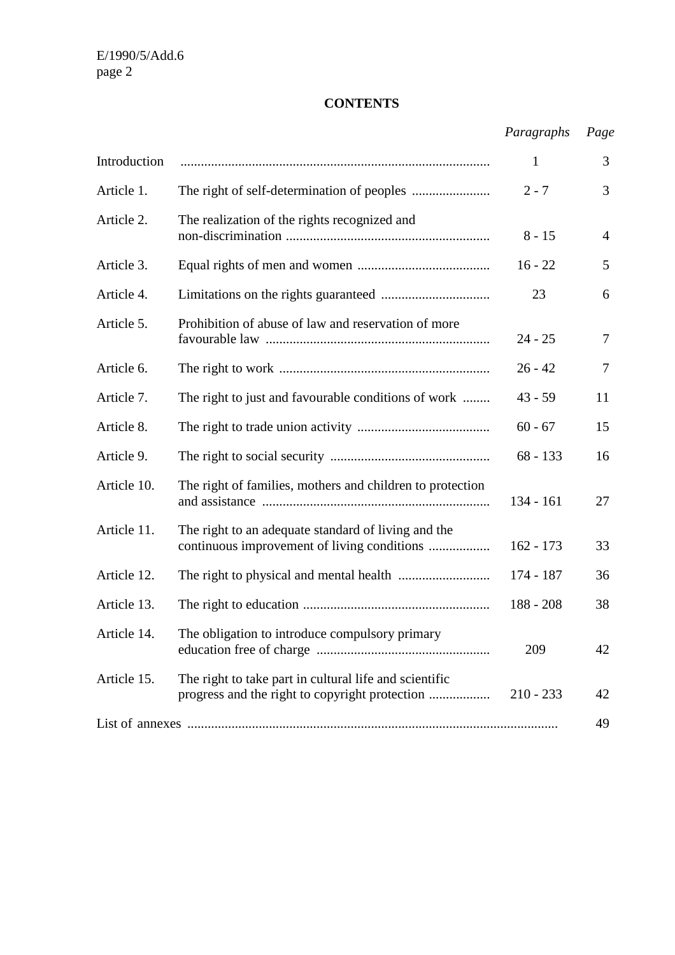# **CONTENTS**

|              |                                                                                                    | Paragraphs   | Page           |
|--------------|----------------------------------------------------------------------------------------------------|--------------|----------------|
| Introduction |                                                                                                    | $\mathbf{1}$ | 3              |
| Article 1.   |                                                                                                    | $2 - 7$      | 3              |
| Article 2.   | The realization of the rights recognized and                                                       | $8 - 15$     | $\overline{4}$ |
| Article 3.   |                                                                                                    | $16 - 22$    | 5              |
| Article 4.   |                                                                                                    | 23           | 6              |
| Article 5.   | Prohibition of abuse of law and reservation of more                                                | $24 - 25$    | 7              |
| Article 6.   |                                                                                                    | $26 - 42$    | 7              |
| Article 7.   | The right to just and favourable conditions of work                                                | $43 - 59$    | 11             |
| Article 8.   |                                                                                                    | $60 - 67$    | 15             |
| Article 9.   |                                                                                                    | $68 - 133$   | 16             |
| Article 10.  | The right of families, mothers and children to protection                                          | $134 - 161$  | 27             |
| Article 11.  | The right to an adequate standard of living and the<br>continuous improvement of living conditions | $162 - 173$  | 33             |
| Article 12.  |                                                                                                    | 174 - 187    | 36             |
| Article 13.  |                                                                                                    | $188 - 208$  | 38             |
| Article 14.  | The obligation to introduce compulsory primary                                                     | 209          | 42             |
| Article 15.  | The right to take part in cultural life and scientific                                             | $210 - 233$  | 42             |
|              |                                                                                                    |              | 49             |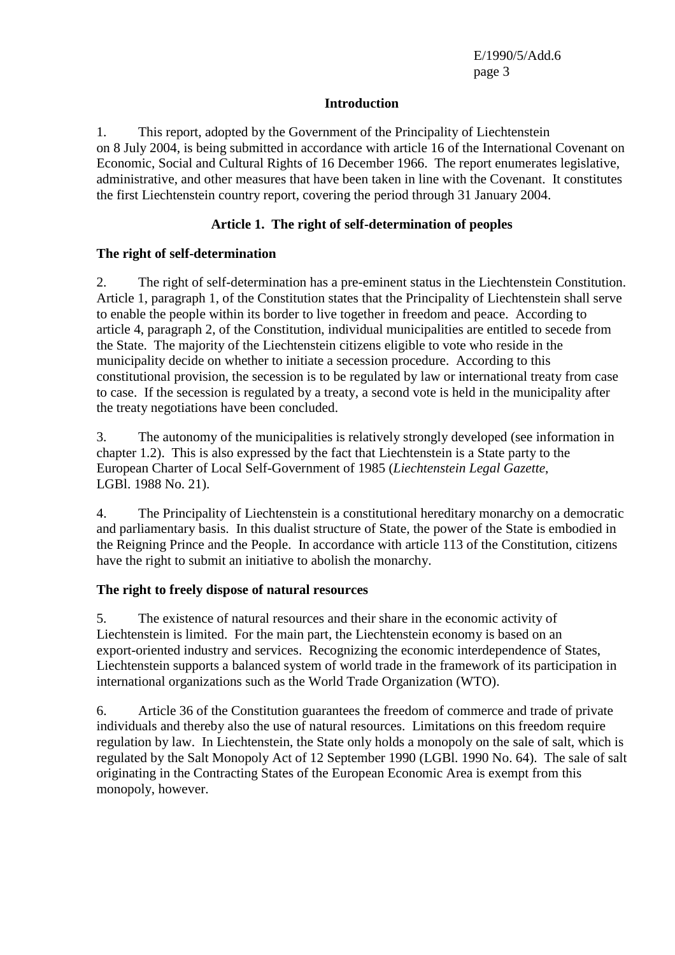### **Introduction**

1. This report, adopted by the Government of the Principality of Liechtenstein on 8 July 2004, is being submitted in accordance with article 16 of the International Covenant on Economic, Social and Cultural Rights of 16 December 1966. The report enumerates legislative, administrative, and other measures that have been taken in line with the Covenant. It constitutes the first Liechtenstein country report, covering the period through 31 January 2004.

## **Article 1. The right of self-determination of peoples**

## **The right of self-determination**

2. The right of self-determination has a pre-eminent status in the Liechtenstein Constitution. Article 1, paragraph 1, of the Constitution states that the Principality of Liechtenstein shall serve to enable the people within its border to live together in freedom and peace. According to article 4, paragraph 2, of the Constitution, individual municipalities are entitled to secede from the State. The majority of the Liechtenstein citizens eligible to vote who reside in the municipality decide on whether to initiate a secession procedure. According to this constitutional provision, the secession is to be regulated by law or international treaty from case to case. If the secession is regulated by a treaty, a second vote is held in the municipality after the treaty negotiations have been concluded.

3. The autonomy of the municipalities is relatively strongly developed (see information in chapter 1.2). This is also expressed by the fact that Liechtenstein is a State party to the European Charter of Local Self-Government of 1985 (*Liechtenstein Legal Gazette*, LGBl. 1988 No. 21).

4. The Principality of Liechtenstein is a constitutional hereditary monarchy on a democratic and parliamentary basis. In this dualist structure of State, the power of the State is embodied in the Reigning Prince and the People. In accordance with article 113 of the Constitution, citizens have the right to submit an initiative to abolish the monarchy.

## **The right to freely dispose of natural resources**

5. The existence of natural resources and their share in the economic activity of Liechtenstein is limited. For the main part, the Liechtenstein economy is based on an export-oriented industry and services. Recognizing the economic interdependence of States, Liechtenstein supports a balanced system of world trade in the framework of its participation in international organizations such as the World Trade Organization (WTO).

6. Article 36 of the Constitution guarantees the freedom of commerce and trade of private individuals and thereby also the use of natural resources. Limitations on this freedom require regulation by law. In Liechtenstein, the State only holds a monopoly on the sale of salt, which is regulated by the Salt Monopoly Act of 12 September 1990 (LGBl. 1990 No. 64). The sale of salt originating in the Contracting States of the European Economic Area is exempt from this monopoly, however.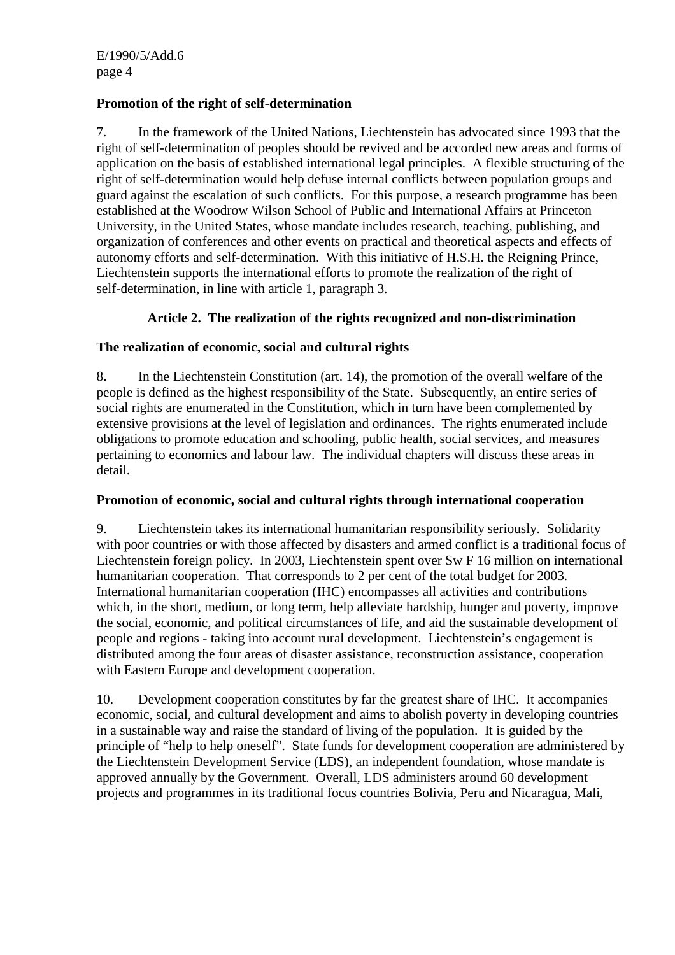# **Promotion of the right of self-determination**

7. In the framework of the United Nations, Liechtenstein has advocated since 1993 that the right of self-determination of peoples should be revived and be accorded new areas and forms of application on the basis of established international legal principles. A flexible structuring of the right of self-determination would help defuse internal conflicts between population groups and guard against the escalation of such conflicts. For this purpose, a research programme has been established at the Woodrow Wilson School of Public and International Affairs at Princeton University, in the United States, whose mandate includes research, teaching, publishing, and organization of conferences and other events on practical and theoretical aspects and effects of autonomy efforts and self-determination. With this initiative of H.S.H. the Reigning Prince, Liechtenstein supports the international efforts to promote the realization of the right of self-determination, in line with article 1, paragraph 3.

## **Article 2. The realization of the rights recognized and non-discrimination**

## **The realization of economic, social and cultural rights**

8. In the Liechtenstein Constitution (art. 14), the promotion of the overall welfare of the people is defined as the highest responsibility of the State. Subsequently, an entire series of social rights are enumerated in the Constitution, which in turn have been complemented by extensive provisions at the level of legislation and ordinances. The rights enumerated include obligations to promote education and schooling, public health, social services, and measures pertaining to economics and labour law. The individual chapters will discuss these areas in detail.

## **Promotion of economic, social and cultural rights through international cooperation**

9. Liechtenstein takes its international humanitarian responsibility seriously. Solidarity with poor countries or with those affected by disasters and armed conflict is a traditional focus of Liechtenstein foreign policy. In 2003, Liechtenstein spent over Sw F 16 million on international humanitarian cooperation. That corresponds to 2 per cent of the total budget for 2003. International humanitarian cooperation (IHC) encompasses all activities and contributions which, in the short, medium, or long term, help alleviate hardship, hunger and poverty, improve the social, economic, and political circumstances of life, and aid the sustainable development of people and regions - taking into account rural development. Liechtenstein's engagement is distributed among the four areas of disaster assistance, reconstruction assistance, cooperation with Eastern Europe and development cooperation.

10. Development cooperation constitutes by far the greatest share of IHC. It accompanies economic, social, and cultural development and aims to abolish poverty in developing countries in a sustainable way and raise the standard of living of the population. It is guided by the principle of "help to help oneself". State funds for development cooperation are administered by the Liechtenstein Development Service (LDS), an independent foundation, whose mandate is approved annually by the Government. Overall, LDS administers around 60 development projects and programmes in its traditional focus countries Bolivia, Peru and Nicaragua, Mali,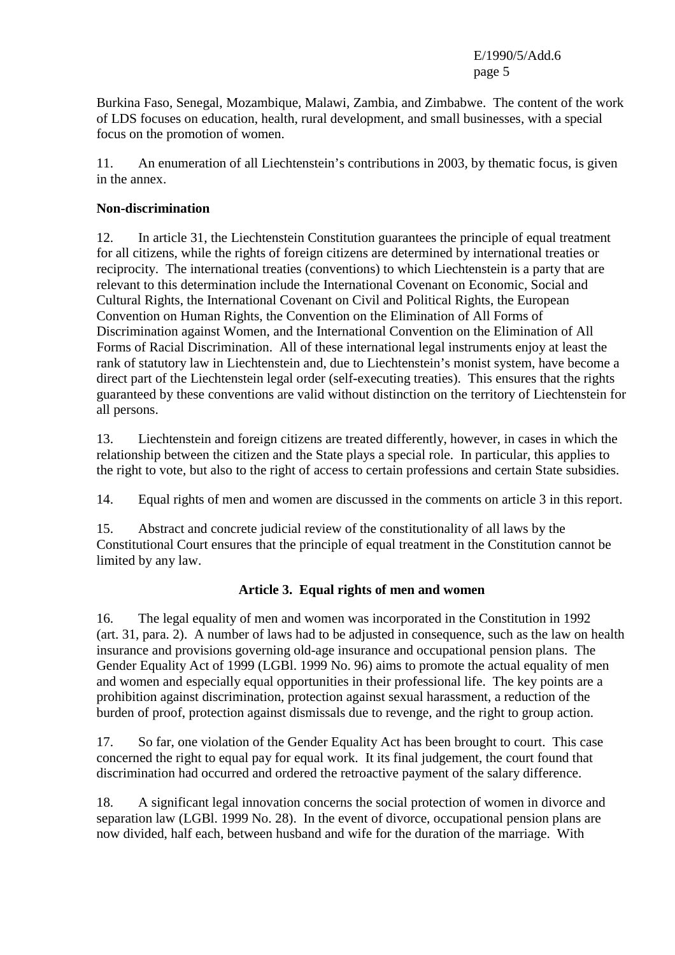Burkina Faso, Senegal, Mozambique, Malawi, Zambia, and Zimbabwe. The content of the work of LDS focuses on education, health, rural development, and small businesses, with a special focus on the promotion of women.

11. An enumeration of all Liechtenstein's contributions in 2003, by thematic focus, is given in the annex.

#### **Non-discrimination**

12. In article 31, the Liechtenstein Constitution guarantees the principle of equal treatment for all citizens, while the rights of foreign citizens are determined by international treaties or reciprocity. The international treaties (conventions) to which Liechtenstein is a party that are relevant to this determination include the International Covenant on Economic, Social and Cultural Rights, the International Covenant on Civil and Political Rights, the European Convention on Human Rights, the Convention on the Elimination of All Forms of Discrimination against Women, and the International Convention on the Elimination of All Forms of Racial Discrimination. All of these international legal instruments enjoy at least the rank of statutory law in Liechtenstein and, due to Liechtenstein's monist system, have become a direct part of the Liechtenstein legal order (self-executing treaties). This ensures that the rights guaranteed by these conventions are valid without distinction on the territory of Liechtenstein for all persons.

13. Liechtenstein and foreign citizens are treated differently, however, in cases in which the relationship between the citizen and the State plays a special role. In particular, this applies to the right to vote, but also to the right of access to certain professions and certain State subsidies.

14. Equal rights of men and women are discussed in the comments on article 3 in this report.

15. Abstract and concrete judicial review of the constitutionality of all laws by the Constitutional Court ensures that the principle of equal treatment in the Constitution cannot be limited by any law.

## **Article 3. Equal rights of men and women**

16. The legal equality of men and women was incorporated in the Constitution in 1992 (art. 31, para. 2). A number of laws had to be adjusted in consequence, such as the law on health insurance and provisions governing old-age insurance and occupational pension plans. The Gender Equality Act of 1999 (LGBl. 1999 No. 96) aims to promote the actual equality of men and women and especially equal opportunities in their professional life. The key points are a prohibition against discrimination, protection against sexual harassment, a reduction of the burden of proof, protection against dismissals due to revenge, and the right to group action.

17. So far, one violation of the Gender Equality Act has been brought to court. This case concerned the right to equal pay for equal work. It its final judgement, the court found that discrimination had occurred and ordered the retroactive payment of the salary difference.

18. A significant legal innovation concerns the social protection of women in divorce and separation law (LGBl. 1999 No. 28). In the event of divorce, occupational pension plans are now divided, half each, between husband and wife for the duration of the marriage. With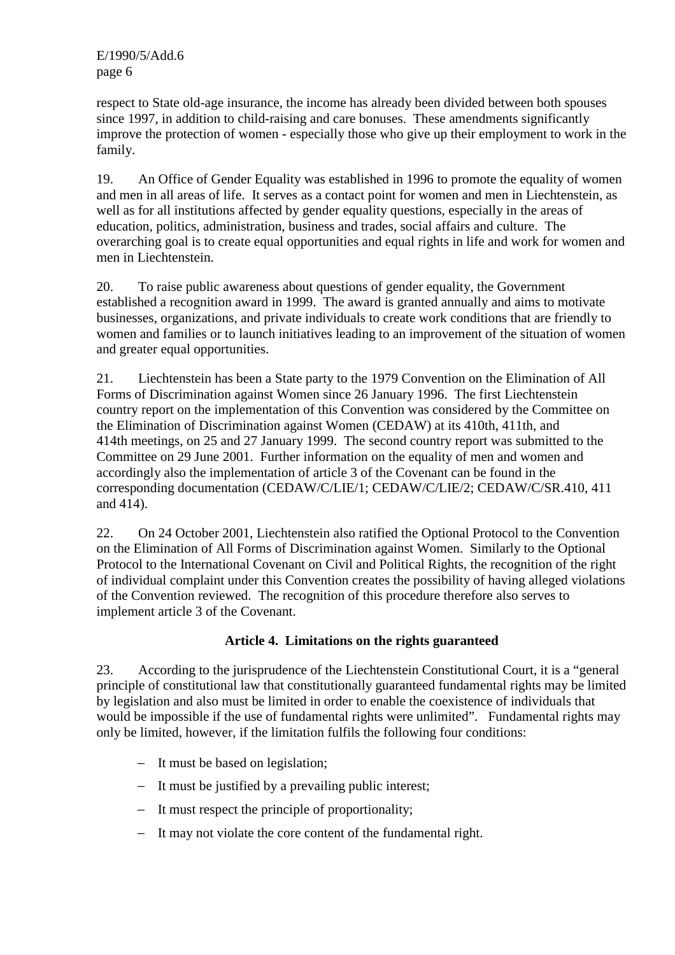respect to State old-age insurance, the income has already been divided between both spouses since 1997, in addition to child-raising and care bonuses. These amendments significantly improve the protection of women - especially those who give up their employment to work in the family.

19. An Office of Gender Equality was established in 1996 to promote the equality of women and men in all areas of life. It serves as a contact point for women and men in Liechtenstein, as well as for all institutions affected by gender equality questions, especially in the areas of education, politics, administration, business and trades, social affairs and culture. The overarching goal is to create equal opportunities and equal rights in life and work for women and men in Liechtenstein.

20. To raise public awareness about questions of gender equality, the Government established a recognition award in 1999. The award is granted annually and aims to motivate businesses, organizations, and private individuals to create work conditions that are friendly to women and families or to launch initiatives leading to an improvement of the situation of women and greater equal opportunities.

21. Liechtenstein has been a State party to the 1979 Convention on the Elimination of All Forms of Discrimination against Women since 26 January 1996. The first Liechtenstein country report on the implementation of this Convention was considered by the Committee on the Elimination of Discrimination against Women (CEDAW) at its 410th, 411th, and 414th meetings, on 25 and 27 January 1999. The second country report was submitted to the Committee on 29 June 2001. Further information on the equality of men and women and accordingly also the implementation of article 3 of the Covenant can be found in the corresponding documentation (CEDAW/C/LIE/1; CEDAW/C/LIE/2; CEDAW/C/SR.410, 411 and 414).

22. On 24 October 2001, Liechtenstein also ratified the Optional Protocol to the Convention on the Elimination of All Forms of Discrimination against Women. Similarly to the Optional Protocol to the International Covenant on Civil and Political Rights, the recognition of the right of individual complaint under this Convention creates the possibility of having alleged violations of the Convention reviewed. The recognition of this procedure therefore also serves to implement article 3 of the Covenant.

# **Article 4. Limitations on the rights guaranteed**

23. According to the jurisprudence of the Liechtenstein Constitutional Court, it is a "general principle of constitutional law that constitutionally guaranteed fundamental rights may be limited by legislation and also must be limited in order to enable the coexistence of individuals that would be impossible if the use of fundamental rights were unlimited". Fundamental rights may only be limited, however, if the limitation fulfils the following four conditions:

- − It must be based on legislation;
- − It must be justified by a prevailing public interest;
- − It must respect the principle of proportionality;
- − It may not violate the core content of the fundamental right.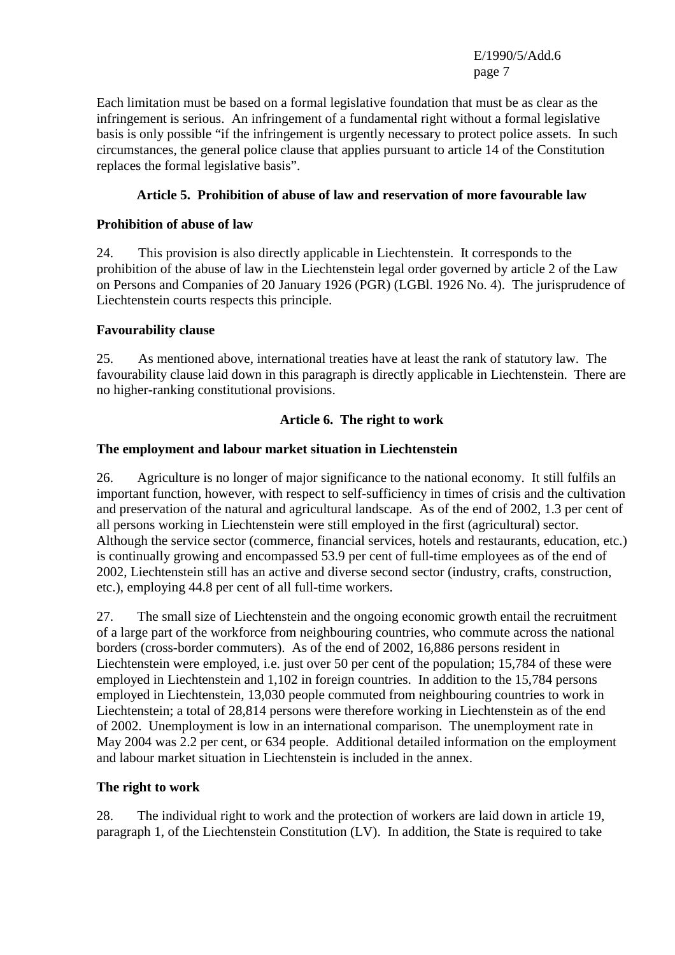Each limitation must be based on a formal legislative foundation that must be as clear as the infringement is serious. An infringement of a fundamental right without a formal legislative basis is only possible "if the infringement is urgently necessary to protect police assets. In such circumstances, the general police clause that applies pursuant to article 14 of the Constitution replaces the formal legislative basis".

## **Article 5. Prohibition of abuse of law and reservation of more favourable law**

## **Prohibition of abuse of law**

24. This provision is also directly applicable in Liechtenstein. It corresponds to the prohibition of the abuse of law in the Liechtenstein legal order governed by article 2 of the Law on Persons and Companies of 20 January 1926 (PGR) (LGBl. 1926 No. 4). The jurisprudence of Liechtenstein courts respects this principle.

## **Favourability clause**

25. As mentioned above, international treaties have at least the rank of statutory law. The favourability clause laid down in this paragraph is directly applicable in Liechtenstein. There are no higher-ranking constitutional provisions.

## **Article 6. The right to work**

## **The employment and labour market situation in Liechtenstein**

26. Agriculture is no longer of major significance to the national economy. It still fulfils an important function, however, with respect to self-sufficiency in times of crisis and the cultivation and preservation of the natural and agricultural landscape. As of the end of 2002, 1.3 per cent of all persons working in Liechtenstein were still employed in the first (agricultural) sector. Although the service sector (commerce, financial services, hotels and restaurants, education, etc.) is continually growing and encompassed 53.9 per cent of full-time employees as of the end of 2002, Liechtenstein still has an active and diverse second sector (industry, crafts, construction, etc.), employing 44.8 per cent of all full-time workers.

27. The small size of Liechtenstein and the ongoing economic growth entail the recruitment of a large part of the workforce from neighbouring countries, who commute across the national borders (cross-border commuters). As of the end of 2002, 16,886 persons resident in Liechtenstein were employed, i.e. just over 50 per cent of the population; 15,784 of these were employed in Liechtenstein and 1,102 in foreign countries. In addition to the 15,784 persons employed in Liechtenstein, 13,030 people commuted from neighbouring countries to work in Liechtenstein; a total of 28,814 persons were therefore working in Liechtenstein as of the end of 2002. Unemployment is low in an international comparison. The unemployment rate in May 2004 was 2.2 per cent, or 634 people. Additional detailed information on the employment and labour market situation in Liechtenstein is included in the annex.

## **The right to work**

28. The individual right to work and the protection of workers are laid down in article 19, paragraph 1, of the Liechtenstein Constitution (LV). In addition, the State is required to take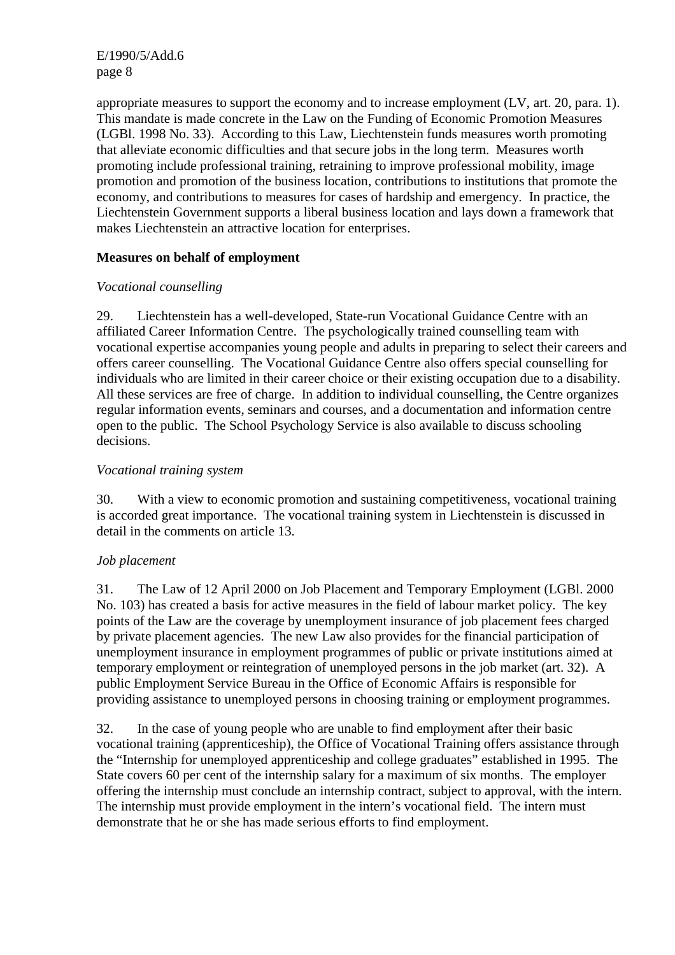appropriate measures to support the economy and to increase employment (LV, art. 20, para. 1). This mandate is made concrete in the Law on the Funding of Economic Promotion Measures (LGBl. 1998 No. 33). According to this Law, Liechtenstein funds measures worth promoting that alleviate economic difficulties and that secure jobs in the long term. Measures worth promoting include professional training, retraining to improve professional mobility, image promotion and promotion of the business location, contributions to institutions that promote the economy, and contributions to measures for cases of hardship and emergency. In practice, the Liechtenstein Government supports a liberal business location and lays down a framework that makes Liechtenstein an attractive location for enterprises.

## **Measures on behalf of employment**

## *Vocational counselling*

29. Liechtenstein has a well-developed, State-run Vocational Guidance Centre with an affiliated Career Information Centre. The psychologically trained counselling team with vocational expertise accompanies young people and adults in preparing to select their careers and offers career counselling. The Vocational Guidance Centre also offers special counselling for individuals who are limited in their career choice or their existing occupation due to a disability. All these services are free of charge. In addition to individual counselling, the Centre organizes regular information events, seminars and courses, and a documentation and information centre open to the public. The School Psychology Service is also available to discuss schooling decisions.

## *Vocational training system*

30. With a view to economic promotion and sustaining competitiveness, vocational training is accorded great importance. The vocational training system in Liechtenstein is discussed in detail in the comments on article 13.

## *Job placement*

31. The Law of 12 April 2000 on Job Placement and Temporary Employment (LGBl. 2000 No. 103) has created a basis for active measures in the field of labour market policy. The key points of the Law are the coverage by unemployment insurance of job placement fees charged by private placement agencies. The new Law also provides for the financial participation of unemployment insurance in employment programmes of public or private institutions aimed at temporary employment or reintegration of unemployed persons in the job market (art. 32). A public Employment Service Bureau in the Office of Economic Affairs is responsible for providing assistance to unemployed persons in choosing training or employment programmes.

32. In the case of young people who are unable to find employment after their basic vocational training (apprenticeship), the Office of Vocational Training offers assistance through the "Internship for unemployed apprenticeship and college graduates" established in 1995. The State covers 60 per cent of the internship salary for a maximum of six months. The employer offering the internship must conclude an internship contract, subject to approval, with the intern. The internship must provide employment in the intern's vocational field. The intern must demonstrate that he or she has made serious efforts to find employment.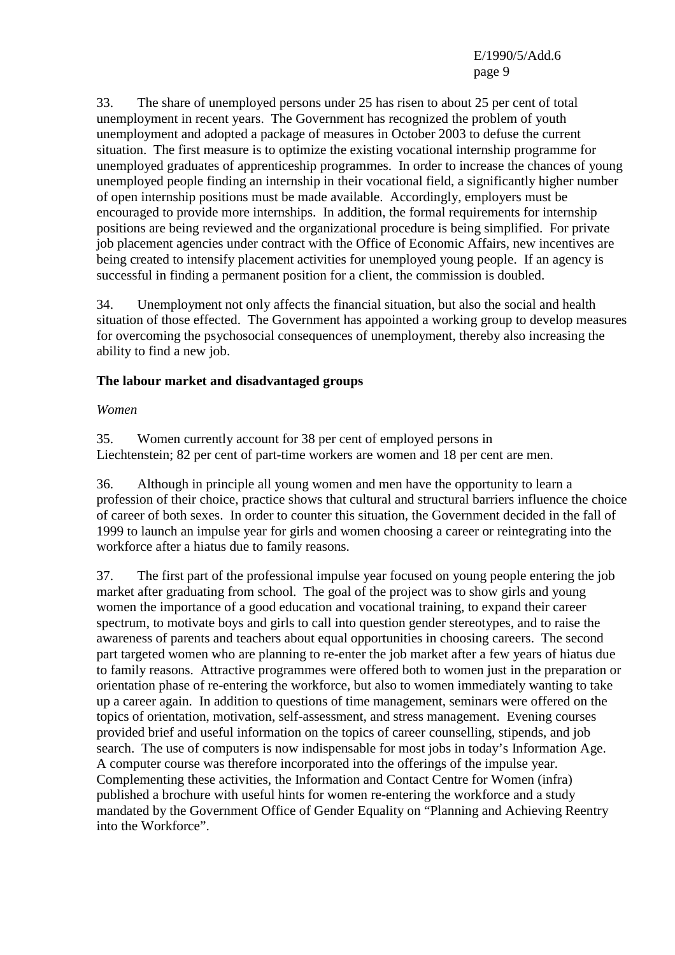33. The share of unemployed persons under 25 has risen to about 25 per cent of total unemployment in recent years. The Government has recognized the problem of youth unemployment and adopted a package of measures in October 2003 to defuse the current situation. The first measure is to optimize the existing vocational internship programme for unemployed graduates of apprenticeship programmes. In order to increase the chances of young unemployed people finding an internship in their vocational field, a significantly higher number of open internship positions must be made available. Accordingly, employers must be encouraged to provide more internships. In addition, the formal requirements for internship positions are being reviewed and the organizational procedure is being simplified. For private job placement agencies under contract with the Office of Economic Affairs, new incentives are being created to intensify placement activities for unemployed young people. If an agency is successful in finding a permanent position for a client, the commission is doubled.

34. Unemployment not only affects the financial situation, but also the social and health situation of those effected. The Government has appointed a working group to develop measures for overcoming the psychosocial consequences of unemployment, thereby also increasing the ability to find a new job.

## **The labour market and disadvantaged groups**

#### *Women*

35. Women currently account for 38 per cent of employed persons in Liechtenstein; 82 per cent of part-time workers are women and 18 per cent are men.

36. Although in principle all young women and men have the opportunity to learn a profession of their choice, practice shows that cultural and structural barriers influence the choice of career of both sexes. In order to counter this situation, the Government decided in the fall of 1999 to launch an impulse year for girls and women choosing a career or reintegrating into the workforce after a hiatus due to family reasons.

37. The first part of the professional impulse year focused on young people entering the job market after graduating from school. The goal of the project was to show girls and young women the importance of a good education and vocational training, to expand their career spectrum, to motivate boys and girls to call into question gender stereotypes, and to raise the awareness of parents and teachers about equal opportunities in choosing careers. The second part targeted women who are planning to re-enter the job market after a few years of hiatus due to family reasons. Attractive programmes were offered both to women just in the preparation or orientation phase of re-entering the workforce, but also to women immediately wanting to take up a career again. In addition to questions of time management, seminars were offered on the topics of orientation, motivation, self-assessment, and stress management. Evening courses provided brief and useful information on the topics of career counselling, stipends, and job search. The use of computers is now indispensable for most jobs in today's Information Age. A computer course was therefore incorporated into the offerings of the impulse year. Complementing these activities, the Information and Contact Centre for Women (infra) published a brochure with useful hints for women re-entering the workforce and a study mandated by the Government Office of Gender Equality on "Planning and Achieving Reentry into the Workforce".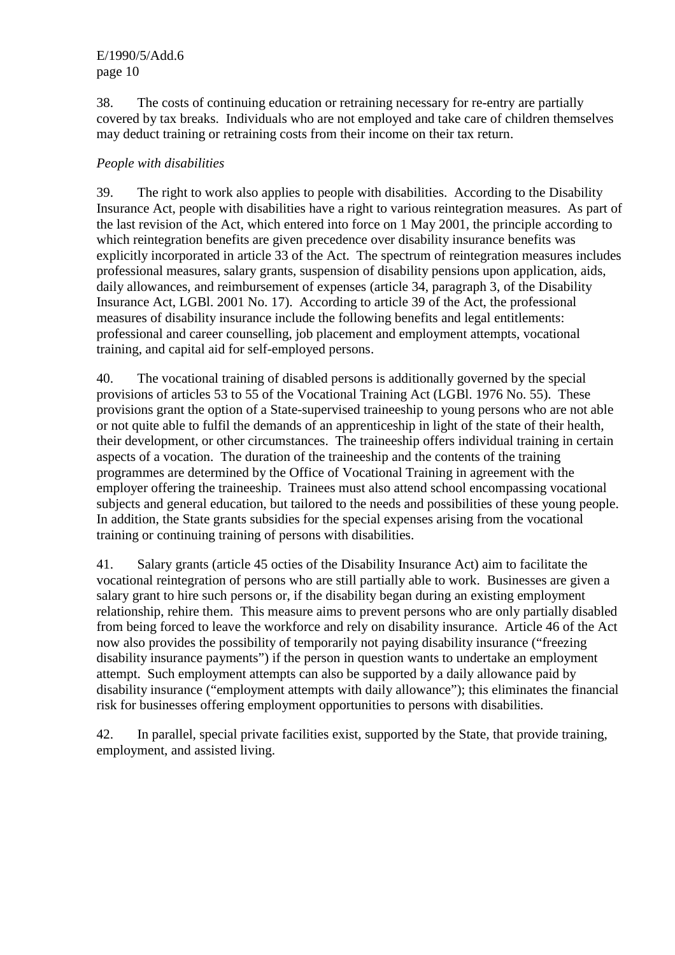38. The costs of continuing education or retraining necessary for re-entry are partially covered by tax breaks. Individuals who are not employed and take care of children themselves may deduct training or retraining costs from their income on their tax return.

#### *People with disabilities*

39. The right to work also applies to people with disabilities. According to the Disability Insurance Act, people with disabilities have a right to various reintegration measures. As part of the last revision of the Act, which entered into force on 1 May 2001, the principle according to which reintegration benefits are given precedence over disability insurance benefits was explicitly incorporated in article 33 of the Act. The spectrum of reintegration measures includes professional measures, salary grants, suspension of disability pensions upon application, aids, daily allowances, and reimbursement of expenses (article 34, paragraph 3, of the Disability Insurance Act, LGBl. 2001 No. 17). According to article 39 of the Act, the professional measures of disability insurance include the following benefits and legal entitlements: professional and career counselling, job placement and employment attempts, vocational training, and capital aid for self-employed persons.

40. The vocational training of disabled persons is additionally governed by the special provisions of articles 53 to 55 of the Vocational Training Act (LGBl. 1976 No. 55). These provisions grant the option of a State-supervised traineeship to young persons who are not able or not quite able to fulfil the demands of an apprenticeship in light of the state of their health, their development, or other circumstances. The traineeship offers individual training in certain aspects of a vocation. The duration of the traineeship and the contents of the training programmes are determined by the Office of Vocational Training in agreement with the employer offering the traineeship. Trainees must also attend school encompassing vocational subjects and general education, but tailored to the needs and possibilities of these young people. In addition, the State grants subsidies for the special expenses arising from the vocational training or continuing training of persons with disabilities.

41. Salary grants (article 45 octies of the Disability Insurance Act) aim to facilitate the vocational reintegration of persons who are still partially able to work. Businesses are given a salary grant to hire such persons or, if the disability began during an existing employment relationship, rehire them. This measure aims to prevent persons who are only partially disabled from being forced to leave the workforce and rely on disability insurance. Article 46 of the Act now also provides the possibility of temporarily not paying disability insurance ("freezing disability insurance payments") if the person in question wants to undertake an employment attempt. Such employment attempts can also be supported by a daily allowance paid by disability insurance ("employment attempts with daily allowance"); this eliminates the financial risk for businesses offering employment opportunities to persons with disabilities.

42. In parallel, special private facilities exist, supported by the State, that provide training, employment, and assisted living.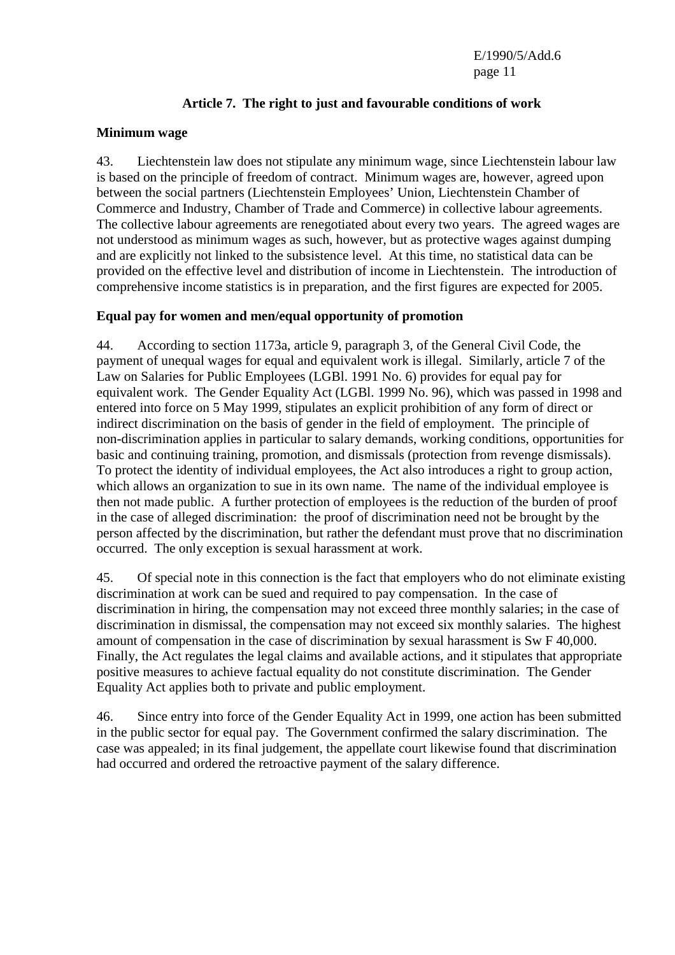## **Article 7. The right to just and favourable conditions of work**

#### **Minimum wage**

43. Liechtenstein law does not stipulate any minimum wage, since Liechtenstein labour law is based on the principle of freedom of contract. Minimum wages are, however, agreed upon between the social partners (Liechtenstein Employees' Union, Liechtenstein Chamber of Commerce and Industry, Chamber of Trade and Commerce) in collective labour agreements. The collective labour agreements are renegotiated about every two years. The agreed wages are not understood as minimum wages as such, however, but as protective wages against dumping and are explicitly not linked to the subsistence level. At this time, no statistical data can be provided on the effective level and distribution of income in Liechtenstein. The introduction of comprehensive income statistics is in preparation, and the first figures are expected for 2005.

## **Equal pay for women and men/equal opportunity of promotion**

44. According to section 1173a, article 9, paragraph 3, of the General Civil Code, the payment of unequal wages for equal and equivalent work is illegal. Similarly, article 7 of the Law on Salaries for Public Employees (LGBl. 1991 No. 6) provides for equal pay for equivalent work. The Gender Equality Act (LGBl. 1999 No. 96), which was passed in 1998 and entered into force on 5 May 1999, stipulates an explicit prohibition of any form of direct or indirect discrimination on the basis of gender in the field of employment. The principle of non-discrimination applies in particular to salary demands, working conditions, opportunities for basic and continuing training, promotion, and dismissals (protection from revenge dismissals). To protect the identity of individual employees, the Act also introduces a right to group action, which allows an organization to sue in its own name. The name of the individual employee is then not made public. A further protection of employees is the reduction of the burden of proof in the case of alleged discrimination: the proof of discrimination need not be brought by the person affected by the discrimination, but rather the defendant must prove that no discrimination occurred. The only exception is sexual harassment at work.

45. Of special note in this connection is the fact that employers who do not eliminate existing discrimination at work can be sued and required to pay compensation. In the case of discrimination in hiring, the compensation may not exceed three monthly salaries; in the case of discrimination in dismissal, the compensation may not exceed six monthly salaries. The highest amount of compensation in the case of discrimination by sexual harassment is Sw F 40,000. Finally, the Act regulates the legal claims and available actions, and it stipulates that appropriate positive measures to achieve factual equality do not constitute discrimination. The Gender Equality Act applies both to private and public employment.

46. Since entry into force of the Gender Equality Act in 1999, one action has been submitted in the public sector for equal pay. The Government confirmed the salary discrimination. The case was appealed; in its final judgement, the appellate court likewise found that discrimination had occurred and ordered the retroactive payment of the salary difference.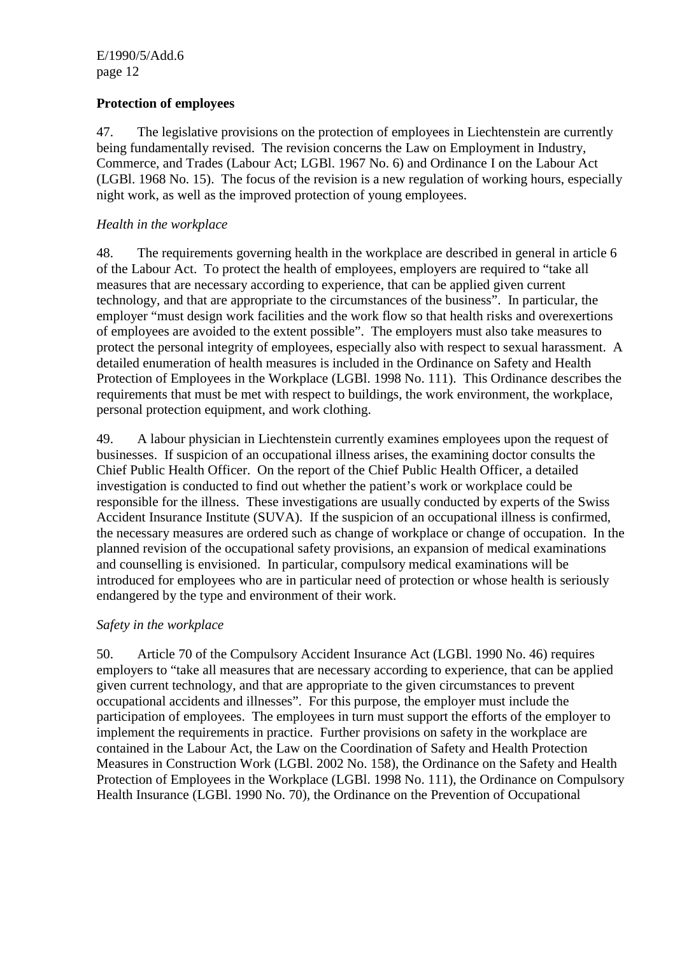## **Protection of employees**

47. The legislative provisions on the protection of employees in Liechtenstein are currently being fundamentally revised. The revision concerns the Law on Employment in Industry, Commerce, and Trades (Labour Act; LGBl. 1967 No. 6) and Ordinance I on the Labour Act (LGBl. 1968 No. 15). The focus of the revision is a new regulation of working hours, especially night work, as well as the improved protection of young employees.

## *Health in the workplace*

48. The requirements governing health in the workplace are described in general in article 6 of the Labour Act. To protect the health of employees, employers are required to "take all measures that are necessary according to experience, that can be applied given current technology, and that are appropriate to the circumstances of the business". In particular, the employer "must design work facilities and the work flow so that health risks and overexertions of employees are avoided to the extent possible". The employers must also take measures to protect the personal integrity of employees, especially also with respect to sexual harassment. A detailed enumeration of health measures is included in the Ordinance on Safety and Health Protection of Employees in the Workplace (LGBl. 1998 No. 111). This Ordinance describes the requirements that must be met with respect to buildings, the work environment, the workplace, personal protection equipment, and work clothing.

49. A labour physician in Liechtenstein currently examines employees upon the request of businesses. If suspicion of an occupational illness arises, the examining doctor consults the Chief Public Health Officer. On the report of the Chief Public Health Officer, a detailed investigation is conducted to find out whether the patient's work or workplace could be responsible for the illness. These investigations are usually conducted by experts of the Swiss Accident Insurance Institute (SUVA). If the suspicion of an occupational illness is confirmed, the necessary measures are ordered such as change of workplace or change of occupation. In the planned revision of the occupational safety provisions, an expansion of medical examinations and counselling is envisioned. In particular, compulsory medical examinations will be introduced for employees who are in particular need of protection or whose health is seriously endangered by the type and environment of their work.

## *Safety in the workplace*

50. Article 70 of the Compulsory Accident Insurance Act (LGBl. 1990 No. 46) requires employers to "take all measures that are necessary according to experience, that can be applied given current technology, and that are appropriate to the given circumstances to prevent occupational accidents and illnesses". For this purpose, the employer must include the participation of employees. The employees in turn must support the efforts of the employer to implement the requirements in practice. Further provisions on safety in the workplace are contained in the Labour Act, the Law on the Coordination of Safety and Health Protection Measures in Construction Work (LGBl. 2002 No. 158), the Ordinance on the Safety and Health Protection of Employees in the Workplace (LGBl. 1998 No. 111), the Ordinance on Compulsory Health Insurance (LGBl. 1990 No. 70), the Ordinance on the Prevention of Occupational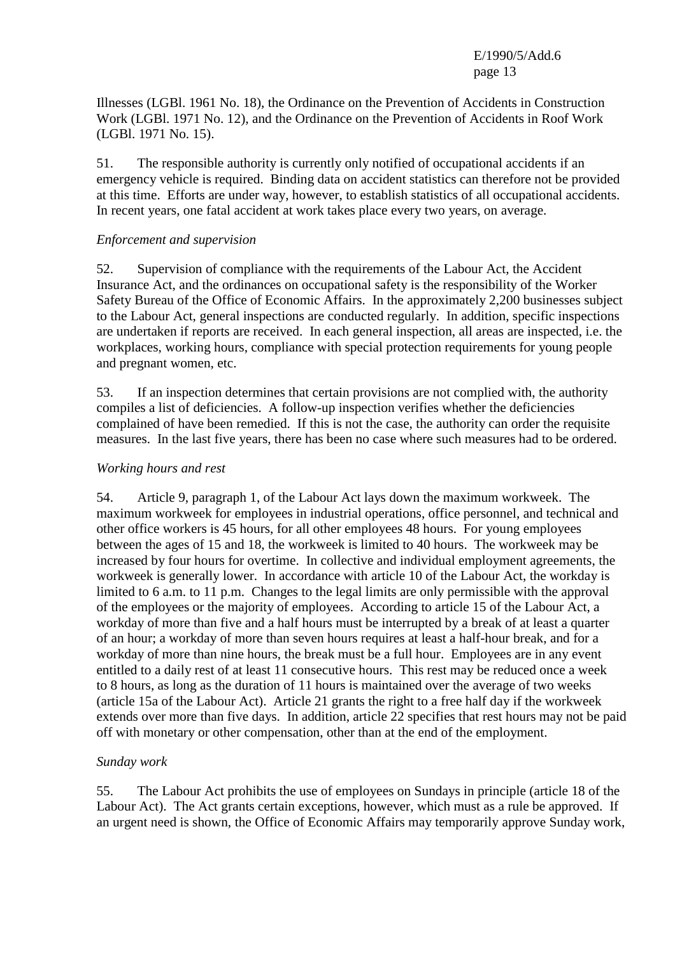Illnesses (LGBl. 1961 No. 18), the Ordinance on the Prevention of Accidents in Construction Work (LGBl. 1971 No. 12), and the Ordinance on the Prevention of Accidents in Roof Work (LGBl. 1971 No. 15).

51. The responsible authority is currently only notified of occupational accidents if an emergency vehicle is required. Binding data on accident statistics can therefore not be provided at this time. Efforts are under way, however, to establish statistics of all occupational accidents. In recent years, one fatal accident at work takes place every two years, on average.

#### *Enforcement and supervision*

52. Supervision of compliance with the requirements of the Labour Act, the Accident Insurance Act, and the ordinances on occupational safety is the responsibility of the Worker Safety Bureau of the Office of Economic Affairs. In the approximately 2,200 businesses subject to the Labour Act, general inspections are conducted regularly. In addition, specific inspections are undertaken if reports are received. In each general inspection, all areas are inspected, i.e. the workplaces, working hours, compliance with special protection requirements for young people and pregnant women, etc.

53. If an inspection determines that certain provisions are not complied with, the authority compiles a list of deficiencies. A follow-up inspection verifies whether the deficiencies complained of have been remedied. If this is not the case, the authority can order the requisite measures. In the last five years, there has been no case where such measures had to be ordered.

#### *Working hours and rest*

54. Article 9, paragraph 1, of the Labour Act lays down the maximum workweek. The maximum workweek for employees in industrial operations, office personnel, and technical and other office workers is 45 hours, for all other employees 48 hours. For young employees between the ages of 15 and 18, the workweek is limited to 40 hours. The workweek may be increased by four hours for overtime. In collective and individual employment agreements, the workweek is generally lower. In accordance with article 10 of the Labour Act, the workday is limited to 6 a.m. to 11 p.m. Changes to the legal limits are only permissible with the approval of the employees or the majority of employees. According to article 15 of the Labour Act, a workday of more than five and a half hours must be interrupted by a break of at least a quarter of an hour; a workday of more than seven hours requires at least a half-hour break, and for a workday of more than nine hours, the break must be a full hour. Employees are in any event entitled to a daily rest of at least 11 consecutive hours. This rest may be reduced once a week to 8 hours, as long as the duration of 11 hours is maintained over the average of two weeks (article 15a of the Labour Act). Article 21 grants the right to a free half day if the workweek extends over more than five days. In addition, article 22 specifies that rest hours may not be paid off with monetary or other compensation, other than at the end of the employment.

## *Sunday work*

55. The Labour Act prohibits the use of employees on Sundays in principle (article 18 of the Labour Act). The Act grants certain exceptions, however, which must as a rule be approved. If an urgent need is shown, the Office of Economic Affairs may temporarily approve Sunday work,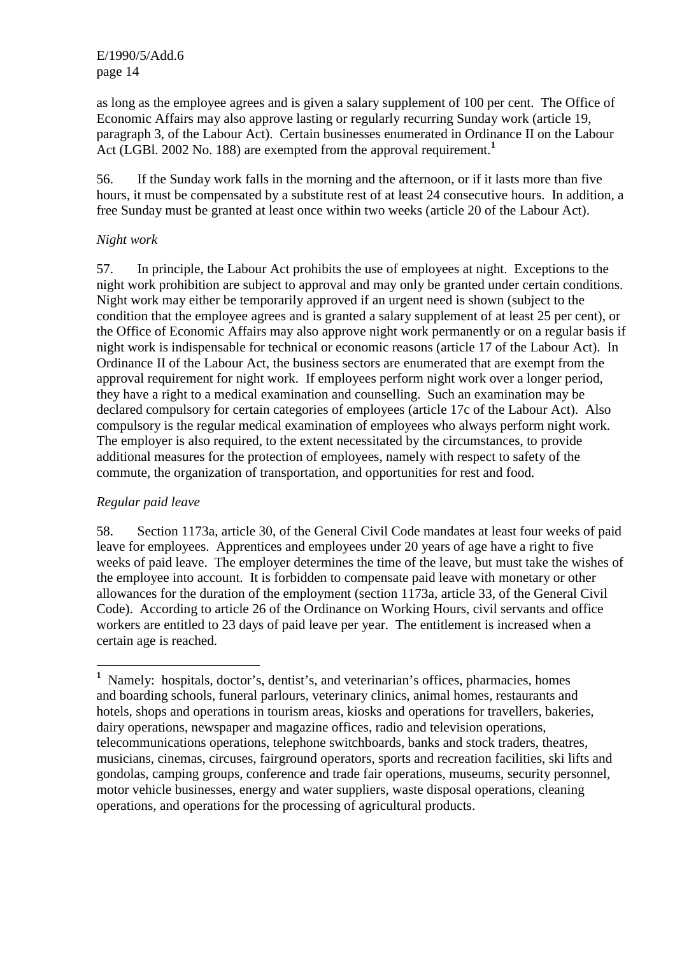as long as the employee agrees and is given a salary supplement of 100 per cent. The Office of Economic Affairs may also approve lasting or regularly recurring Sunday work (article 19, paragraph 3, of the Labour Act). Certain businesses enumerated in Ordinance II on the Labour Act (LGBl. 2002 No. 188) are exempted from the approval requirement.**<sup>1</sup>**

56. If the Sunday work falls in the morning and the afternoon, or if it lasts more than five hours, it must be compensated by a substitute rest of at least 24 consecutive hours. In addition, a free Sunday must be granted at least once within two weeks (article 20 of the Labour Act).

### *Night work*

57. In principle, the Labour Act prohibits the use of employees at night. Exceptions to the night work prohibition are subject to approval and may only be granted under certain conditions. Night work may either be temporarily approved if an urgent need is shown (subject to the condition that the employee agrees and is granted a salary supplement of at least 25 per cent), or the Office of Economic Affairs may also approve night work permanently or on a regular basis if night work is indispensable for technical or economic reasons (article 17 of the Labour Act). In Ordinance II of the Labour Act, the business sectors are enumerated that are exempt from the approval requirement for night work. If employees perform night work over a longer period, they have a right to a medical examination and counselling. Such an examination may be declared compulsory for certain categories of employees (article 17c of the Labour Act). Also compulsory is the regular medical examination of employees who always perform night work. The employer is also required, to the extent necessitated by the circumstances, to provide additional measures for the protection of employees, namely with respect to safety of the commute, the organization of transportation, and opportunities for rest and food.

## *Regular paid leave*

 $\overline{a}$ 

58. Section 1173a, article 30, of the General Civil Code mandates at least four weeks of paid leave for employees. Apprentices and employees under 20 years of age have a right to five weeks of paid leave. The employer determines the time of the leave, but must take the wishes of the employee into account. It is forbidden to compensate paid leave with monetary or other allowances for the duration of the employment (section 1173a, article 33, of the General Civil Code). According to article 26 of the Ordinance on Working Hours, civil servants and office workers are entitled to 23 days of paid leave per year. The entitlement is increased when a certain age is reached.

<sup>&</sup>lt;sup>1</sup> Namely: hospitals, doctor's, dentist's, and veterinarian's offices, pharmacies, homes and boarding schools, funeral parlours, veterinary clinics, animal homes, restaurants and hotels, shops and operations in tourism areas, kiosks and operations for travellers, bakeries, dairy operations, newspaper and magazine offices, radio and television operations, telecommunications operations, telephone switchboards, banks and stock traders, theatres, musicians, cinemas, circuses, fairground operators, sports and recreation facilities, ski lifts and gondolas, camping groups, conference and trade fair operations, museums, security personnel, motor vehicle businesses, energy and water suppliers, waste disposal operations, cleaning operations, and operations for the processing of agricultural products.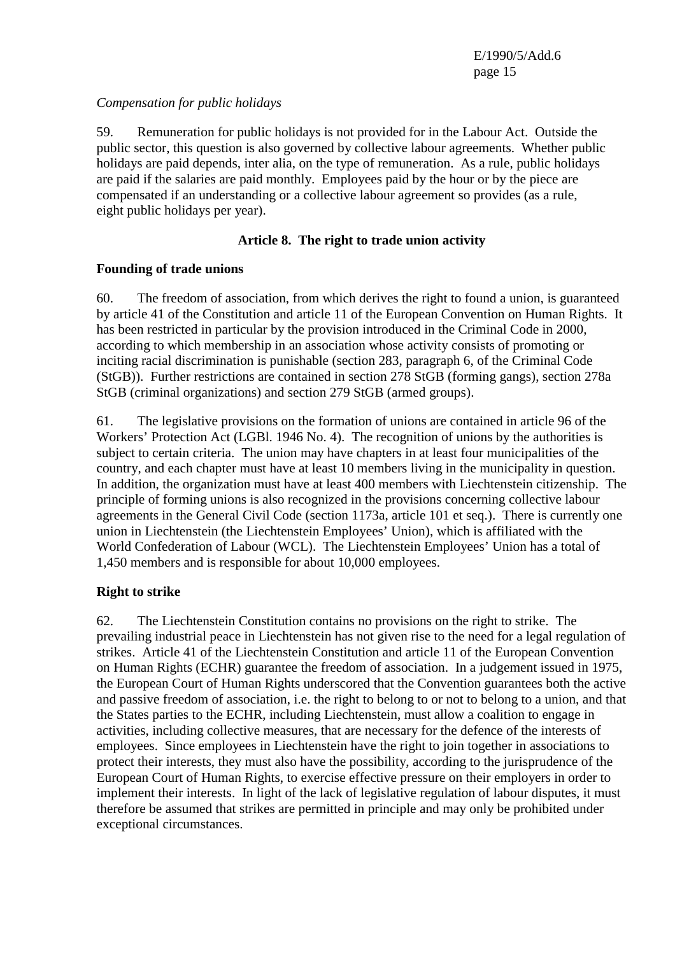### *Compensation for public holidays*

59. Remuneration for public holidays is not provided for in the Labour Act. Outside the public sector, this question is also governed by collective labour agreements. Whether public holidays are paid depends, inter alia, on the type of remuneration. As a rule, public holidays are paid if the salaries are paid monthly. Employees paid by the hour or by the piece are compensated if an understanding or a collective labour agreement so provides (as a rule, eight public holidays per year).

### **Article 8. The right to trade union activity**

## **Founding of trade unions**

60. The freedom of association, from which derives the right to found a union, is guaranteed by article 41 of the Constitution and article 11 of the European Convention on Human Rights. It has been restricted in particular by the provision introduced in the Criminal Code in 2000, according to which membership in an association whose activity consists of promoting or inciting racial discrimination is punishable (section 283, paragraph 6, of the Criminal Code (StGB)). Further restrictions are contained in section 278 StGB (forming gangs), section 278a StGB (criminal organizations) and section 279 StGB (armed groups).

61. The legislative provisions on the formation of unions are contained in article 96 of the Workers' Protection Act (LGBl. 1946 No. 4). The recognition of unions by the authorities is subject to certain criteria. The union may have chapters in at least four municipalities of the country, and each chapter must have at least 10 members living in the municipality in question. In addition, the organization must have at least 400 members with Liechtenstein citizenship. The principle of forming unions is also recognized in the provisions concerning collective labour agreements in the General Civil Code (section 1173a, article 101 et seq.). There is currently one union in Liechtenstein (the Liechtenstein Employees' Union), which is affiliated with the World Confederation of Labour (WCL). The Liechtenstein Employees' Union has a total of 1,450 members and is responsible for about 10,000 employees.

## **Right to strike**

62. The Liechtenstein Constitution contains no provisions on the right to strike. The prevailing industrial peace in Liechtenstein has not given rise to the need for a legal regulation of strikes. Article 41 of the Liechtenstein Constitution and article 11 of the European Convention on Human Rights (ECHR) guarantee the freedom of association. In a judgement issued in 1975, the European Court of Human Rights underscored that the Convention guarantees both the active and passive freedom of association, i.e. the right to belong to or not to belong to a union, and that the States parties to the ECHR, including Liechtenstein, must allow a coalition to engage in activities, including collective measures, that are necessary for the defence of the interests of employees. Since employees in Liechtenstein have the right to join together in associations to protect their interests, they must also have the possibility, according to the jurisprudence of the European Court of Human Rights, to exercise effective pressure on their employers in order to implement their interests. In light of the lack of legislative regulation of labour disputes, it must therefore be assumed that strikes are permitted in principle and may only be prohibited under exceptional circumstances.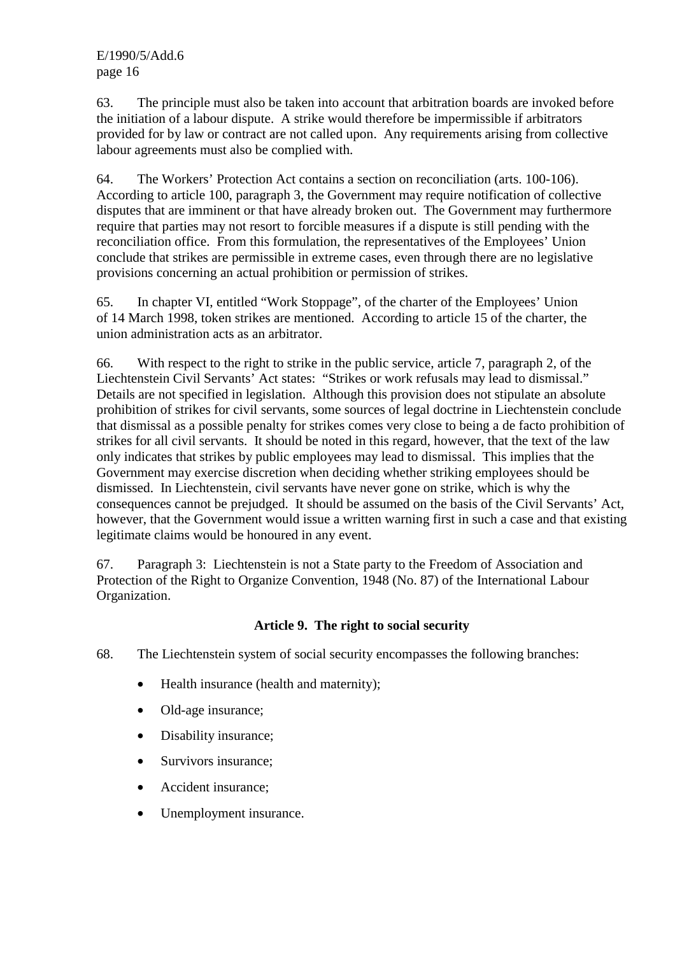63. The principle must also be taken into account that arbitration boards are invoked before the initiation of a labour dispute. A strike would therefore be impermissible if arbitrators provided for by law or contract are not called upon. Any requirements arising from collective labour agreements must also be complied with.

64. The Workers' Protection Act contains a section on reconciliation (arts. 100-106). According to article 100, paragraph 3, the Government may require notification of collective disputes that are imminent or that have already broken out. The Government may furthermore require that parties may not resort to forcible measures if a dispute is still pending with the reconciliation office. From this formulation, the representatives of the Employees' Union conclude that strikes are permissible in extreme cases, even through there are no legislative provisions concerning an actual prohibition or permission of strikes.

65. In chapter VI, entitled "Work Stoppage", of the charter of the Employees' Union of 14 March 1998, token strikes are mentioned. According to article 15 of the charter, the union administration acts as an arbitrator.

66. With respect to the right to strike in the public service, article 7, paragraph 2, of the Liechtenstein Civil Servants' Act states: "Strikes or work refusals may lead to dismissal." Details are not specified in legislation. Although this provision does not stipulate an absolute prohibition of strikes for civil servants, some sources of legal doctrine in Liechtenstein conclude that dismissal as a possible penalty for strikes comes very close to being a de facto prohibition of strikes for all civil servants. It should be noted in this regard, however, that the text of the law only indicates that strikes by public employees may lead to dismissal. This implies that the Government may exercise discretion when deciding whether striking employees should be dismissed. In Liechtenstein, civil servants have never gone on strike, which is why the consequences cannot be prejudged. It should be assumed on the basis of the Civil Servants' Act, however, that the Government would issue a written warning first in such a case and that existing legitimate claims would be honoured in any event.

67. Paragraph 3: Liechtenstein is not a State party to the Freedom of Association and Protection of the Right to Organize Convention, 1948 (No. 87) of the International Labour Organization.

# **Article 9. The right to social security**

- 68. The Liechtenstein system of social security encompasses the following branches:
	- Health insurance (health and maternity);
	- Old-age insurance;
	- Disability insurance;
	- Survivors insurance;
	- Accident insurance;
	- Unemployment insurance.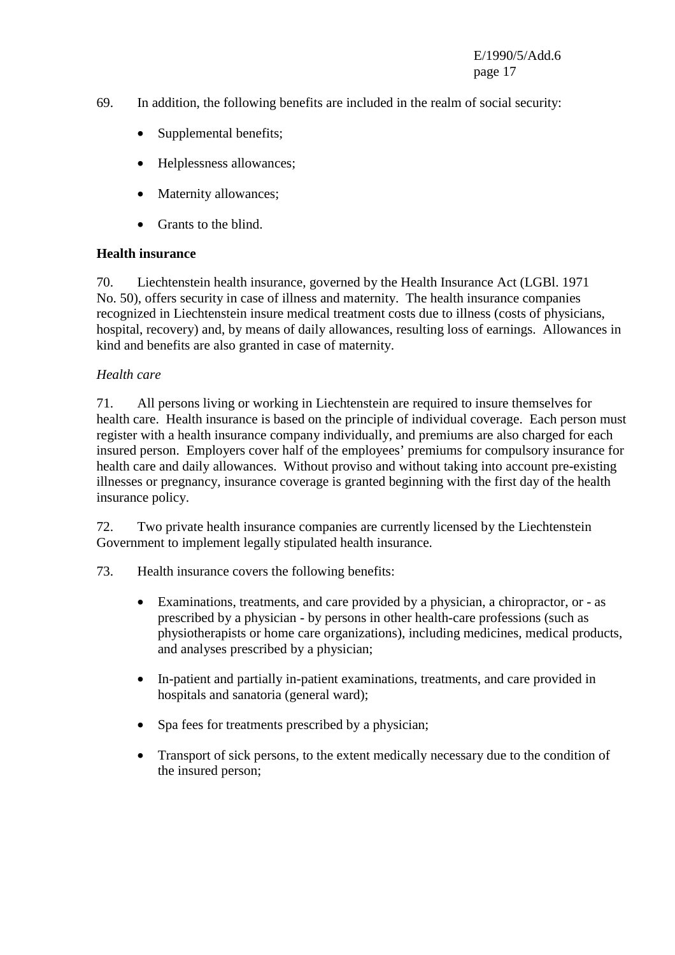- 69. In addition, the following benefits are included in the realm of social security:
	- Supplemental benefits;
	- Helplessness allowances;
	- Maternity allowances;
	- Grants to the blind.

## **Health insurance**

70. Liechtenstein health insurance, governed by the Health Insurance Act (LGBl. 1971 No. 50), offers security in case of illness and maternity. The health insurance companies recognized in Liechtenstein insure medical treatment costs due to illness (costs of physicians, hospital, recovery) and, by means of daily allowances, resulting loss of earnings. Allowances in kind and benefits are also granted in case of maternity.

## *Health care*

71. All persons living or working in Liechtenstein are required to insure themselves for health care. Health insurance is based on the principle of individual coverage. Each person must register with a health insurance company individually, and premiums are also charged for each insured person. Employers cover half of the employees' premiums for compulsory insurance for health care and daily allowances. Without proviso and without taking into account pre-existing illnesses or pregnancy, insurance coverage is granted beginning with the first day of the health insurance policy.

72. Two private health insurance companies are currently licensed by the Liechtenstein Government to implement legally stipulated health insurance.

- 73. Health insurance covers the following benefits:
	- Examinations, treatments, and care provided by a physician, a chiropractor, or as prescribed by a physician - by persons in other health-care professions (such as physiotherapists or home care organizations), including medicines, medical products, and analyses prescribed by a physician;
	- In-patient and partially in-patient examinations, treatments, and care provided in hospitals and sanatoria (general ward);
	- Spa fees for treatments prescribed by a physician;
	- Transport of sick persons, to the extent medically necessary due to the condition of the insured person;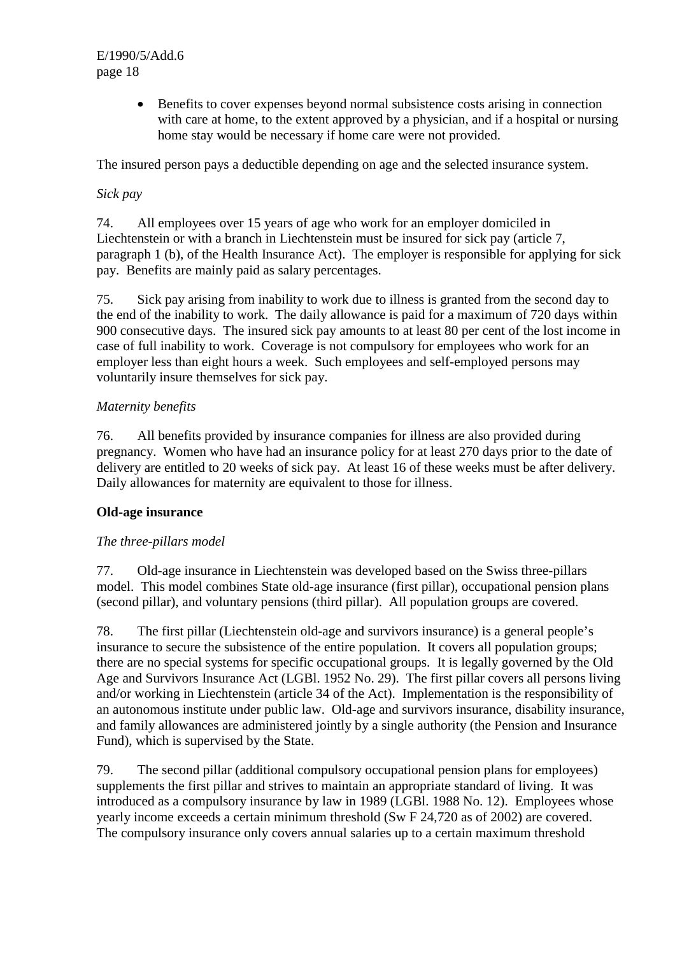> • Benefits to cover expenses beyond normal subsistence costs arising in connection with care at home, to the extent approved by a physician, and if a hospital or nursing home stay would be necessary if home care were not provided.

The insured person pays a deductible depending on age and the selected insurance system.

## *Sick pay*

74. All employees over 15 years of age who work for an employer domiciled in Liechtenstein or with a branch in Liechtenstein must be insured for sick pay (article 7, paragraph 1 (b), of the Health Insurance Act). The employer is responsible for applying for sick pay. Benefits are mainly paid as salary percentages.

75. Sick pay arising from inability to work due to illness is granted from the second day to the end of the inability to work. The daily allowance is paid for a maximum of 720 days within 900 consecutive days. The insured sick pay amounts to at least 80 per cent of the lost income in case of full inability to work. Coverage is not compulsory for employees who work for an employer less than eight hours a week. Such employees and self-employed persons may voluntarily insure themselves for sick pay.

#### *Maternity benefits*

76. All benefits provided by insurance companies for illness are also provided during pregnancy. Women who have had an insurance policy for at least 270 days prior to the date of delivery are entitled to 20 weeks of sick pay. At least 16 of these weeks must be after delivery. Daily allowances for maternity are equivalent to those for illness.

## **Old-age insurance**

## *The three-pillars model*

77. Old-age insurance in Liechtenstein was developed based on the Swiss three-pillars model. This model combines State old-age insurance (first pillar), occupational pension plans (second pillar), and voluntary pensions (third pillar). All population groups are covered.

78. The first pillar (Liechtenstein old-age and survivors insurance) is a general people's insurance to secure the subsistence of the entire population. It covers all population groups; there are no special systems for specific occupational groups. It is legally governed by the Old Age and Survivors Insurance Act (LGBl. 1952 No. 29). The first pillar covers all persons living and/or working in Liechtenstein (article 34 of the Act). Implementation is the responsibility of an autonomous institute under public law. Old-age and survivors insurance, disability insurance, and family allowances are administered jointly by a single authority (the Pension and Insurance Fund), which is supervised by the State.

79. The second pillar (additional compulsory occupational pension plans for employees) supplements the first pillar and strives to maintain an appropriate standard of living. It was introduced as a compulsory insurance by law in 1989 (LGBl. 1988 No. 12). Employees whose yearly income exceeds a certain minimum threshold (Sw F 24,720 as of 2002) are covered. The compulsory insurance only covers annual salaries up to a certain maximum threshold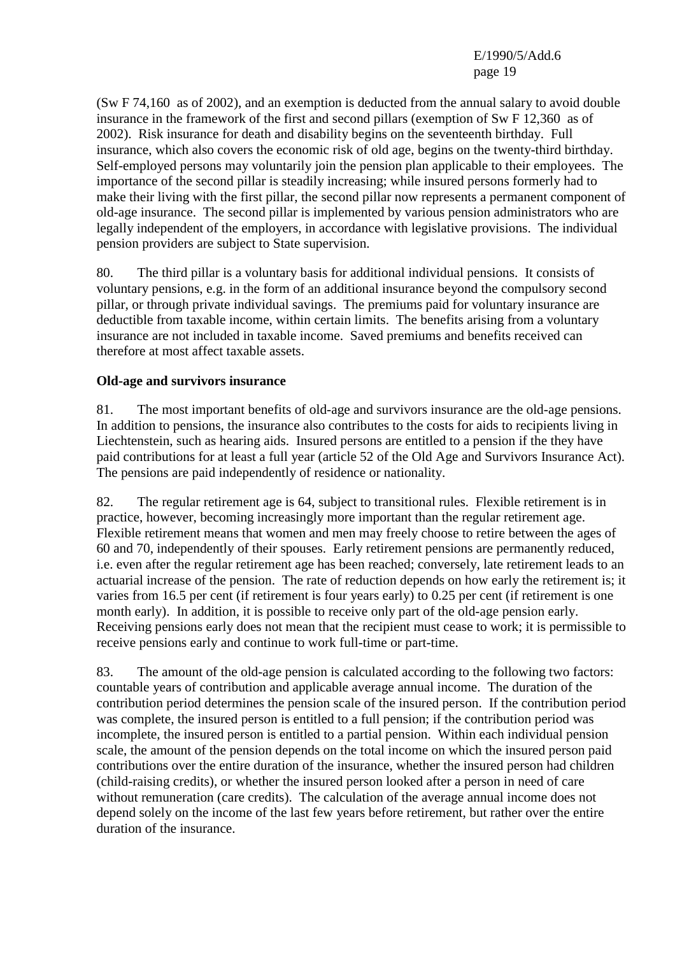(Sw F 74,160 as of 2002), and an exemption is deducted from the annual salary to avoid double insurance in the framework of the first and second pillars (exemption of Sw F 12,360 as of 2002). Risk insurance for death and disability begins on the seventeenth birthday. Full insurance, which also covers the economic risk of old age, begins on the twenty-third birthday. Self-employed persons may voluntarily join the pension plan applicable to their employees. The importance of the second pillar is steadily increasing; while insured persons formerly had to make their living with the first pillar, the second pillar now represents a permanent component of old-age insurance. The second pillar is implemented by various pension administrators who are legally independent of the employers, in accordance with legislative provisions. The individual pension providers are subject to State supervision.

80. The third pillar is a voluntary basis for additional individual pensions. It consists of voluntary pensions, e.g. in the form of an additional insurance beyond the compulsory second pillar, or through private individual savings. The premiums paid for voluntary insurance are deductible from taxable income, within certain limits. The benefits arising from a voluntary insurance are not included in taxable income. Saved premiums and benefits received can therefore at most affect taxable assets.

## **Old-age and survivors insurance**

81. The most important benefits of old-age and survivors insurance are the old-age pensions. In addition to pensions, the insurance also contributes to the costs for aids to recipients living in Liechtenstein, such as hearing aids. Insured persons are entitled to a pension if the they have paid contributions for at least a full year (article 52 of the Old Age and Survivors Insurance Act). The pensions are paid independently of residence or nationality.

82. The regular retirement age is 64, subject to transitional rules. Flexible retirement is in practice, however, becoming increasingly more important than the regular retirement age. Flexible retirement means that women and men may freely choose to retire between the ages of 60 and 70, independently of their spouses. Early retirement pensions are permanently reduced, i.e. even after the regular retirement age has been reached; conversely, late retirement leads to an actuarial increase of the pension. The rate of reduction depends on how early the retirement is; it varies from 16.5 per cent (if retirement is four years early) to 0.25 per cent (if retirement is one month early). In addition, it is possible to receive only part of the old-age pension early. Receiving pensions early does not mean that the recipient must cease to work; it is permissible to receive pensions early and continue to work full-time or part-time.

83. The amount of the old-age pension is calculated according to the following two factors: countable years of contribution and applicable average annual income. The duration of the contribution period determines the pension scale of the insured person. If the contribution period was complete, the insured person is entitled to a full pension; if the contribution period was incomplete, the insured person is entitled to a partial pension. Within each individual pension scale, the amount of the pension depends on the total income on which the insured person paid contributions over the entire duration of the insurance, whether the insured person had children (child-raising credits), or whether the insured person looked after a person in need of care without remuneration (care credits). The calculation of the average annual income does not depend solely on the income of the last few years before retirement, but rather over the entire duration of the insurance.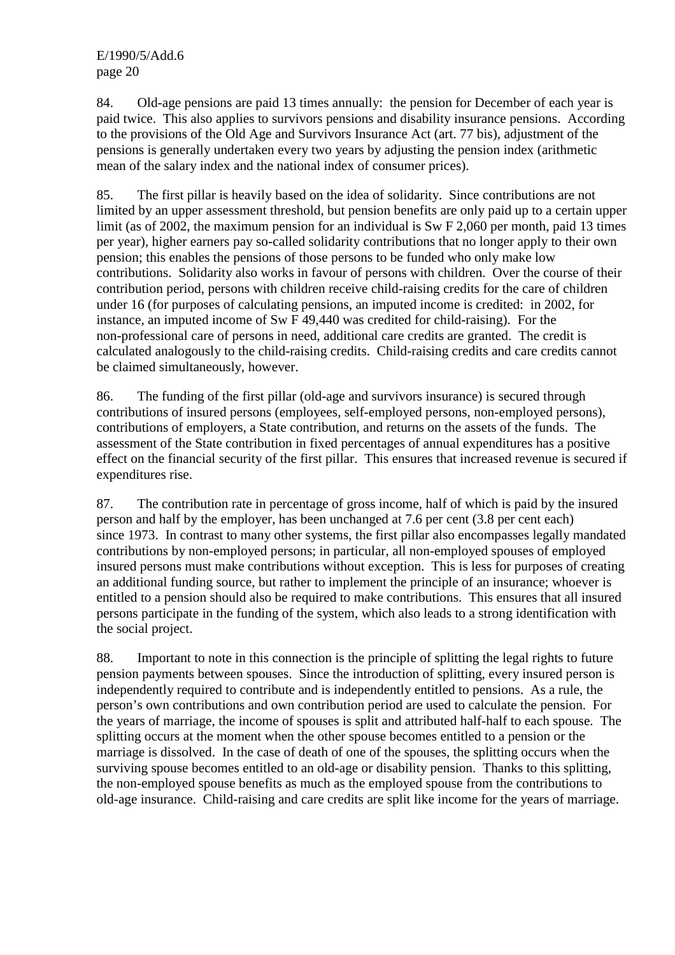84. Old-age pensions are paid 13 times annually: the pension for December of each year is paid twice. This also applies to survivors pensions and disability insurance pensions. According to the provisions of the Old Age and Survivors Insurance Act (art. 77 bis), adjustment of the pensions is generally undertaken every two years by adjusting the pension index (arithmetic mean of the salary index and the national index of consumer prices).

85. The first pillar is heavily based on the idea of solidarity. Since contributions are not limited by an upper assessment threshold, but pension benefits are only paid up to a certain upper limit (as of 2002, the maximum pension for an individual is Sw F 2,060 per month, paid 13 times per year), higher earners pay so-called solidarity contributions that no longer apply to their own pension; this enables the pensions of those persons to be funded who only make low contributions. Solidarity also works in favour of persons with children. Over the course of their contribution period, persons with children receive child-raising credits for the care of children under 16 (for purposes of calculating pensions, an imputed income is credited: in 2002, for instance, an imputed income of Sw F 49,440 was credited for child-raising). For the non-professional care of persons in need, additional care credits are granted. The credit is calculated analogously to the child-raising credits. Child-raising credits and care credits cannot be claimed simultaneously, however.

86. The funding of the first pillar (old-age and survivors insurance) is secured through contributions of insured persons (employees, self-employed persons, non-employed persons), contributions of employers, a State contribution, and returns on the assets of the funds. The assessment of the State contribution in fixed percentages of annual expenditures has a positive effect on the financial security of the first pillar. This ensures that increased revenue is secured if expenditures rise.

87. The contribution rate in percentage of gross income, half of which is paid by the insured person and half by the employer, has been unchanged at 7.6 per cent (3.8 per cent each) since 1973. In contrast to many other systems, the first pillar also encompasses legally mandated contributions by non-employed persons; in particular, all non-employed spouses of employed insured persons must make contributions without exception. This is less for purposes of creating an additional funding source, but rather to implement the principle of an insurance; whoever is entitled to a pension should also be required to make contributions. This ensures that all insured persons participate in the funding of the system, which also leads to a strong identification with the social project.

88. Important to note in this connection is the principle of splitting the legal rights to future pension payments between spouses. Since the introduction of splitting, every insured person is independently required to contribute and is independently entitled to pensions. As a rule, the person's own contributions and own contribution period are used to calculate the pension. For the years of marriage, the income of spouses is split and attributed half-half to each spouse. The splitting occurs at the moment when the other spouse becomes entitled to a pension or the marriage is dissolved. In the case of death of one of the spouses, the splitting occurs when the surviving spouse becomes entitled to an old-age or disability pension. Thanks to this splitting, the non-employed spouse benefits as much as the employed spouse from the contributions to old-age insurance. Child-raising and care credits are split like income for the years of marriage.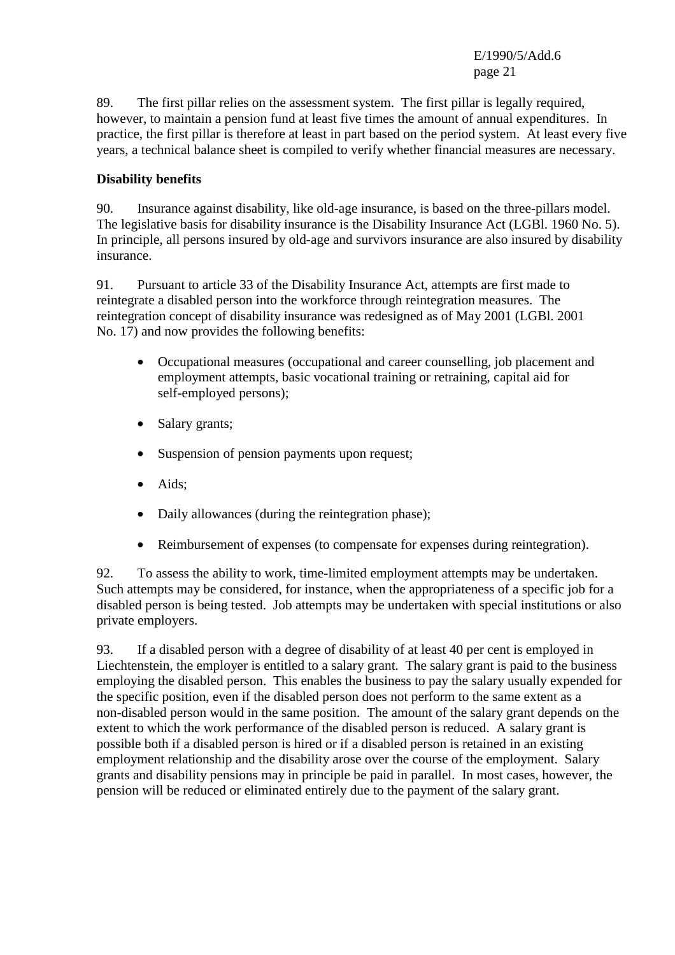89. The first pillar relies on the assessment system. The first pillar is legally required, however, to maintain a pension fund at least five times the amount of annual expenditures. In practice, the first pillar is therefore at least in part based on the period system. At least every five years, a technical balance sheet is compiled to verify whether financial measures are necessary.

## **Disability benefits**

90. Insurance against disability, like old-age insurance, is based on the three-pillars model. The legislative basis for disability insurance is the Disability Insurance Act (LGBl. 1960 No. 5). In principle, all persons insured by old-age and survivors insurance are also insured by disability insurance.

91. Pursuant to article 33 of the Disability Insurance Act, attempts are first made to reintegrate a disabled person into the workforce through reintegration measures. The reintegration concept of disability insurance was redesigned as of May 2001 (LGBl. 2001 No. 17) and now provides the following benefits:

- Occupational measures (occupational and career counselling, job placement and employment attempts, basic vocational training or retraining, capital aid for self-employed persons);
- Salary grants;
- Suspension of pension payments upon request;
- Aids:
- Daily allowances (during the reintegration phase);
- Reimbursement of expenses (to compensate for expenses during reintegration).

92. To assess the ability to work, time-limited employment attempts may be undertaken. Such attempts may be considered, for instance, when the appropriateness of a specific job for a disabled person is being tested. Job attempts may be undertaken with special institutions or also private employers.

93. If a disabled person with a degree of disability of at least 40 per cent is employed in Liechtenstein, the employer is entitled to a salary grant. The salary grant is paid to the business employing the disabled person. This enables the business to pay the salary usually expended for the specific position, even if the disabled person does not perform to the same extent as a non-disabled person would in the same position. The amount of the salary grant depends on the extent to which the work performance of the disabled person is reduced. A salary grant is possible both if a disabled person is hired or if a disabled person is retained in an existing employment relationship and the disability arose over the course of the employment. Salary grants and disability pensions may in principle be paid in parallel. In most cases, however, the pension will be reduced or eliminated entirely due to the payment of the salary grant.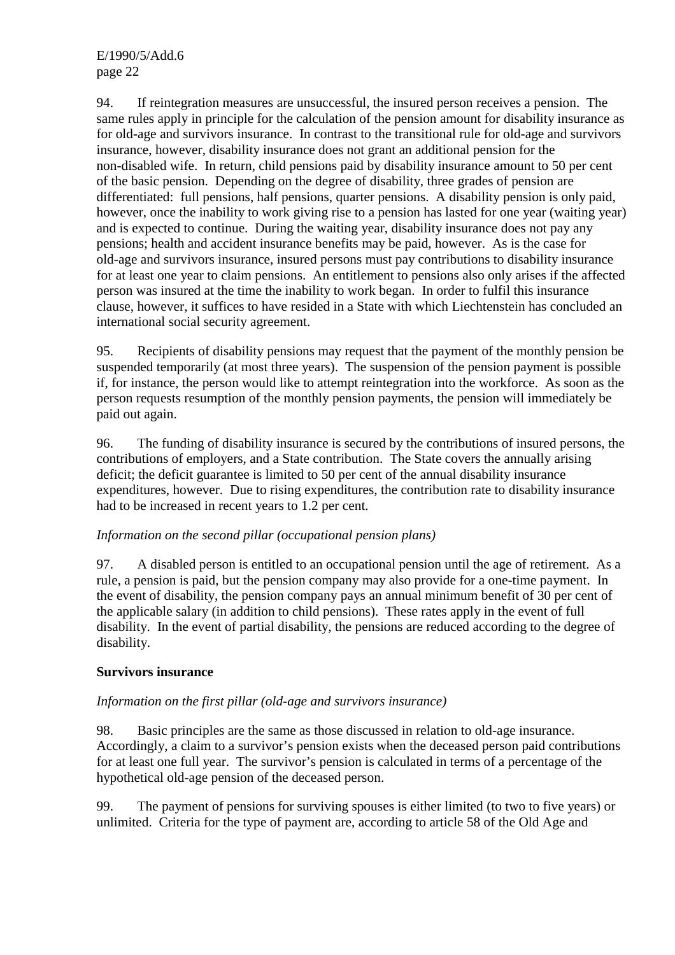94. If reintegration measures are unsuccessful, the insured person receives a pension. The same rules apply in principle for the calculation of the pension amount for disability insurance as for old-age and survivors insurance. In contrast to the transitional rule for old-age and survivors insurance, however, disability insurance does not grant an additional pension for the non-disabled wife. In return, child pensions paid by disability insurance amount to 50 per cent of the basic pension. Depending on the degree of disability, three grades of pension are differentiated: full pensions, half pensions, quarter pensions. A disability pension is only paid, however, once the inability to work giving rise to a pension has lasted for one year (waiting year) and is expected to continue. During the waiting year, disability insurance does not pay any pensions; health and accident insurance benefits may be paid, however. As is the case for old-age and survivors insurance, insured persons must pay contributions to disability insurance for at least one year to claim pensions. An entitlement to pensions also only arises if the affected person was insured at the time the inability to work began. In order to fulfil this insurance clause, however, it suffices to have resided in a State with which Liechtenstein has concluded an international social security agreement.

95. Recipients of disability pensions may request that the payment of the monthly pension be suspended temporarily (at most three years). The suspension of the pension payment is possible if, for instance, the person would like to attempt reintegration into the workforce. As soon as the person requests resumption of the monthly pension payments, the pension will immediately be paid out again.

96. The funding of disability insurance is secured by the contributions of insured persons, the contributions of employers, and a State contribution. The State covers the annually arising deficit; the deficit guarantee is limited to 50 per cent of the annual disability insurance expenditures, however. Due to rising expenditures, the contribution rate to disability insurance had to be increased in recent years to 1.2 per cent.

## *Information on the second pillar (occupational pension plans)*

97. A disabled person is entitled to an occupational pension until the age of retirement. As a rule, a pension is paid, but the pension company may also provide for a one-time payment. In the event of disability, the pension company pays an annual minimum benefit of 30 per cent of the applicable salary (in addition to child pensions). These rates apply in the event of full disability. In the event of partial disability, the pensions are reduced according to the degree of disability.

## **Survivors insurance**

## *Information on the first pillar (old-age and survivors insurance)*

98. Basic principles are the same as those discussed in relation to old-age insurance. Accordingly, a claim to a survivor's pension exists when the deceased person paid contributions for at least one full year. The survivor's pension is calculated in terms of a percentage of the hypothetical old-age pension of the deceased person.

99. The payment of pensions for surviving spouses is either limited (to two to five years) or unlimited. Criteria for the type of payment are, according to article 58 of the Old Age and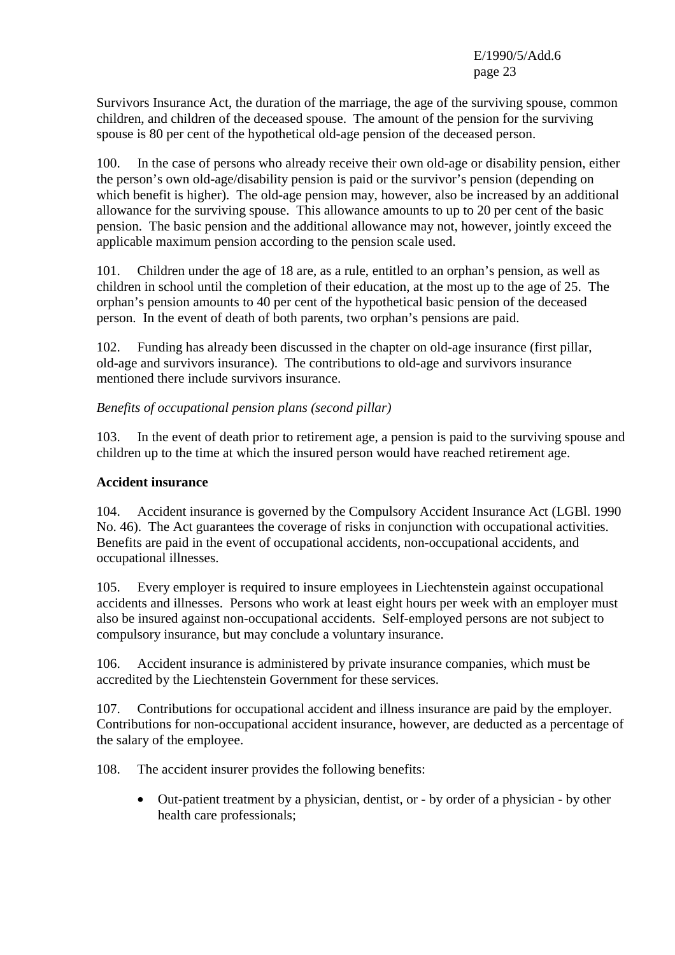Survivors Insurance Act, the duration of the marriage, the age of the surviving spouse, common children, and children of the deceased spouse. The amount of the pension for the surviving spouse is 80 per cent of the hypothetical old-age pension of the deceased person.

100. In the case of persons who already receive their own old-age or disability pension, either the person's own old-age/disability pension is paid or the survivor's pension (depending on which benefit is higher). The old-age pension may, however, also be increased by an additional allowance for the surviving spouse. This allowance amounts to up to 20 per cent of the basic pension. The basic pension and the additional allowance may not, however, jointly exceed the applicable maximum pension according to the pension scale used.

101. Children under the age of 18 are, as a rule, entitled to an orphan's pension, as well as children in school until the completion of their education, at the most up to the age of 25. The orphan's pension amounts to 40 per cent of the hypothetical basic pension of the deceased person. In the event of death of both parents, two orphan's pensions are paid.

102. Funding has already been discussed in the chapter on old-age insurance (first pillar, old-age and survivors insurance). The contributions to old-age and survivors insurance mentioned there include survivors insurance.

*Benefits of occupational pension plans (second pillar)* 

103. In the event of death prior to retirement age, a pension is paid to the surviving spouse and children up to the time at which the insured person would have reached retirement age.

#### **Accident insurance**

104. Accident insurance is governed by the Compulsory Accident Insurance Act (LGBl. 1990 No. 46). The Act guarantees the coverage of risks in conjunction with occupational activities. Benefits are paid in the event of occupational accidents, non-occupational accidents, and occupational illnesses.

105. Every employer is required to insure employees in Liechtenstein against occupational accidents and illnesses. Persons who work at least eight hours per week with an employer must also be insured against non-occupational accidents. Self-employed persons are not subject to compulsory insurance, but may conclude a voluntary insurance.

106. Accident insurance is administered by private insurance companies, which must be accredited by the Liechtenstein Government for these services.

107. Contributions for occupational accident and illness insurance are paid by the employer. Contributions for non-occupational accident insurance, however, are deducted as a percentage of the salary of the employee.

108. The accident insurer provides the following benefits:

• Out-patient treatment by a physician, dentist, or - by order of a physician - by other health care professionals;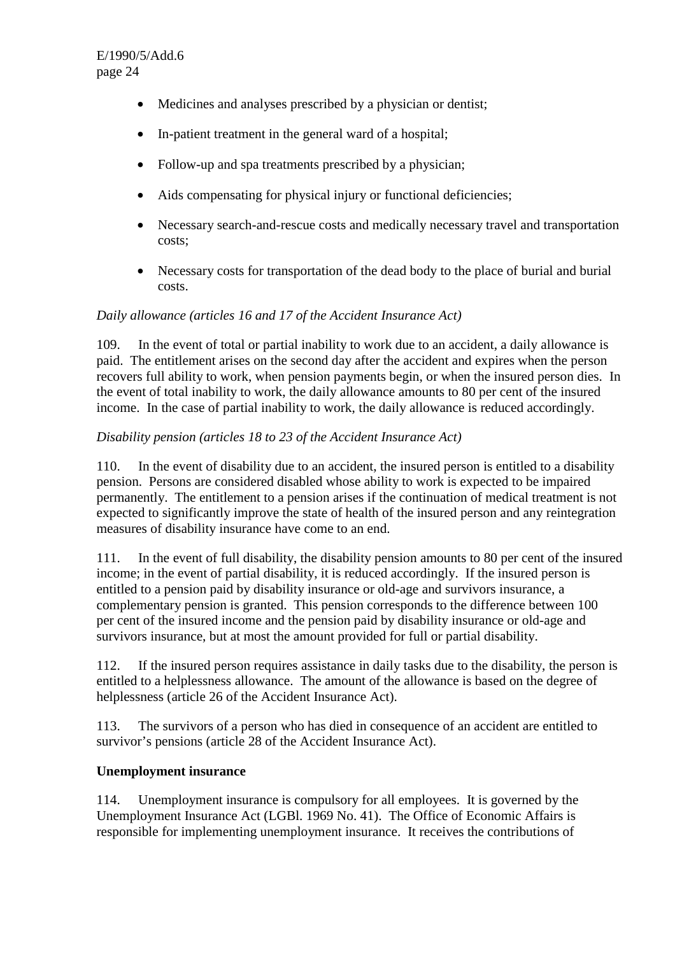- Medicines and analyses prescribed by a physician or dentist;
- In-patient treatment in the general ward of a hospital;
- Follow-up and spa treatments prescribed by a physician;
- Aids compensating for physical injury or functional deficiencies:
- Necessary search-and-rescue costs and medically necessary travel and transportation costs;
- Necessary costs for transportation of the dead body to the place of burial and burial costs.

#### *Daily allowance (articles 16 and 17 of the Accident Insurance Act)*

109. In the event of total or partial inability to work due to an accident, a daily allowance is paid. The entitlement arises on the second day after the accident and expires when the person recovers full ability to work, when pension payments begin, or when the insured person dies. In the event of total inability to work, the daily allowance amounts to 80 per cent of the insured income. In the case of partial inability to work, the daily allowance is reduced accordingly.

#### *Disability pension (articles 18 to 23 of the Accident Insurance Act)*

110. In the event of disability due to an accident, the insured person is entitled to a disability pension. Persons are considered disabled whose ability to work is expected to be impaired permanently. The entitlement to a pension arises if the continuation of medical treatment is not expected to significantly improve the state of health of the insured person and any reintegration measures of disability insurance have come to an end.

111. In the event of full disability, the disability pension amounts to 80 per cent of the insured income; in the event of partial disability, it is reduced accordingly. If the insured person is entitled to a pension paid by disability insurance or old-age and survivors insurance, a complementary pension is granted. This pension corresponds to the difference between 100 per cent of the insured income and the pension paid by disability insurance or old-age and survivors insurance, but at most the amount provided for full or partial disability.

112. If the insured person requires assistance in daily tasks due to the disability, the person is entitled to a helplessness allowance. The amount of the allowance is based on the degree of helplessness (article 26 of the Accident Insurance Act).

113. The survivors of a person who has died in consequence of an accident are entitled to survivor's pensions (article 28 of the Accident Insurance Act).

## **Unemployment insurance**

114. Unemployment insurance is compulsory for all employees. It is governed by the Unemployment Insurance Act (LGBl. 1969 No. 41). The Office of Economic Affairs is responsible for implementing unemployment insurance. It receives the contributions of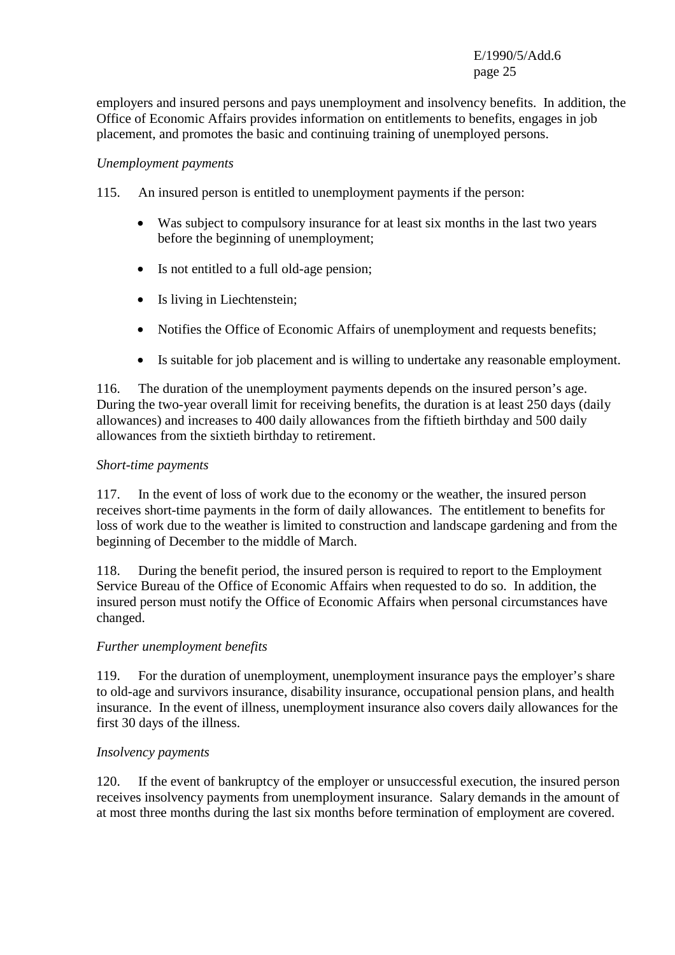employers and insured persons and pays unemployment and insolvency benefits. In addition, the Office of Economic Affairs provides information on entitlements to benefits, engages in job placement, and promotes the basic and continuing training of unemployed persons.

#### *Unemployment payments*

115. An insured person is entitled to unemployment payments if the person:

- Was subject to compulsory insurance for at least six months in the last two years before the beginning of unemployment;
- Is not entitled to a full old-age pension;
- Is living in Liechtenstein;
- Notifies the Office of Economic Affairs of unemployment and requests benefits;
- Is suitable for job placement and is willing to undertake any reasonable employment.

116. The duration of the unemployment payments depends on the insured person's age. During the two-year overall limit for receiving benefits, the duration is at least 250 days (daily allowances) and increases to 400 daily allowances from the fiftieth birthday and 500 daily allowances from the sixtieth birthday to retirement.

#### *Short-time payments*

117. In the event of loss of work due to the economy or the weather, the insured person receives short-time payments in the form of daily allowances. The entitlement to benefits for loss of work due to the weather is limited to construction and landscape gardening and from the beginning of December to the middle of March.

118. During the benefit period, the insured person is required to report to the Employment Service Bureau of the Office of Economic Affairs when requested to do so. In addition, the insured person must notify the Office of Economic Affairs when personal circumstances have changed.

## *Further unemployment benefits*

119. For the duration of unemployment, unemployment insurance pays the employer's share to old-age and survivors insurance, disability insurance, occupational pension plans, and health insurance. In the event of illness, unemployment insurance also covers daily allowances for the first 30 days of the illness.

## *Insolvency payments*

120. If the event of bankruptcy of the employer or unsuccessful execution, the insured person receives insolvency payments from unemployment insurance. Salary demands in the amount of at most three months during the last six months before termination of employment are covered.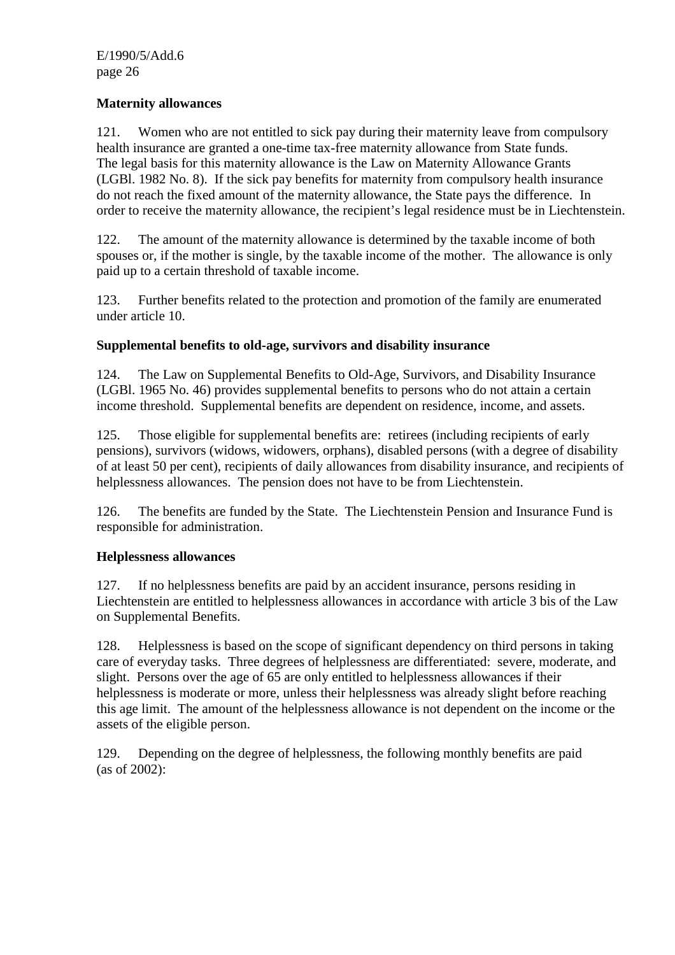## **Maternity allowances**

121. Women who are not entitled to sick pay during their maternity leave from compulsory health insurance are granted a one-time tax-free maternity allowance from State funds. The legal basis for this maternity allowance is the Law on Maternity Allowance Grants (LGBl. 1982 No. 8). If the sick pay benefits for maternity from compulsory health insurance do not reach the fixed amount of the maternity allowance, the State pays the difference. In order to receive the maternity allowance, the recipient's legal residence must be in Liechtenstein.

122. The amount of the maternity allowance is determined by the taxable income of both spouses or, if the mother is single, by the taxable income of the mother. The allowance is only paid up to a certain threshold of taxable income.

123. Further benefits related to the protection and promotion of the family are enumerated under article 10.

## **Supplemental benefits to old-age, survivors and disability insurance**

124. The Law on Supplemental Benefits to Old-Age, Survivors, and Disability Insurance (LGBl. 1965 No. 46) provides supplemental benefits to persons who do not attain a certain income threshold. Supplemental benefits are dependent on residence, income, and assets.

125. Those eligible for supplemental benefits are: retirees (including recipients of early pensions), survivors (widows, widowers, orphans), disabled persons (with a degree of disability of at least 50 per cent), recipients of daily allowances from disability insurance, and recipients of helplessness allowances. The pension does not have to be from Liechtenstein.

126. The benefits are funded by the State. The Liechtenstein Pension and Insurance Fund is responsible for administration.

## **Helplessness allowances**

127. If no helplessness benefits are paid by an accident insurance, persons residing in Liechtenstein are entitled to helplessness allowances in accordance with article 3 bis of the Law on Supplemental Benefits.

128. Helplessness is based on the scope of significant dependency on third persons in taking care of everyday tasks. Three degrees of helplessness are differentiated: severe, moderate, and slight. Persons over the age of 65 are only entitled to helplessness allowances if their helplessness is moderate or more, unless their helplessness was already slight before reaching this age limit. The amount of the helplessness allowance is not dependent on the income or the assets of the eligible person.

129. Depending on the degree of helplessness, the following monthly benefits are paid (as of 2002):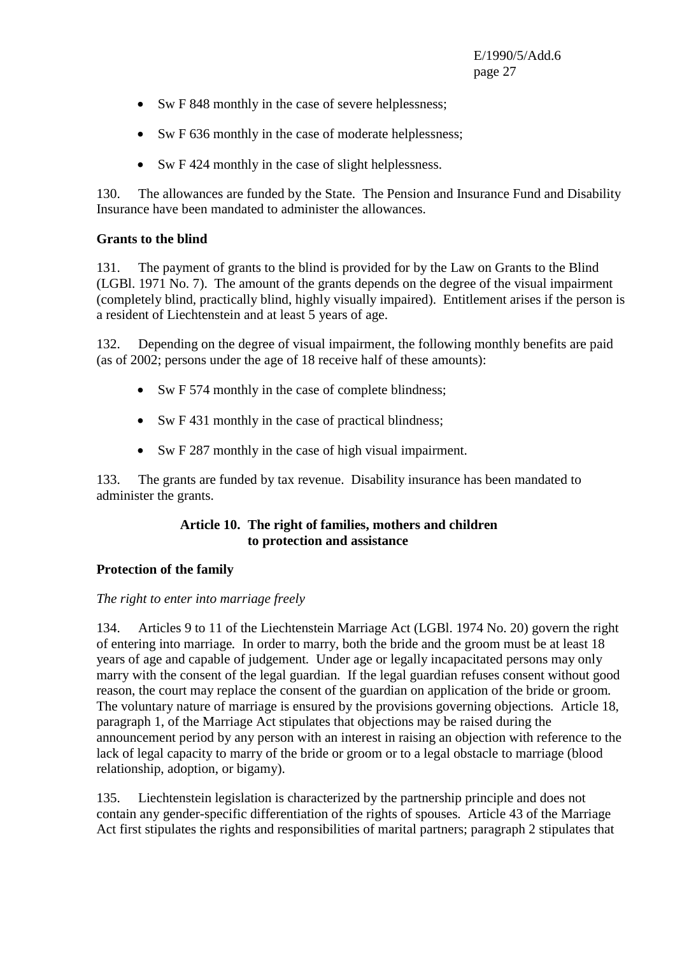- Sw F 848 monthly in the case of severe helplessness;
- Sw F 636 monthly in the case of moderate helplessness;
- Sw F 424 monthly in the case of slight helplessness.

130. The allowances are funded by the State. The Pension and Insurance Fund and Disability Insurance have been mandated to administer the allowances.

#### **Grants to the blind**

131. The payment of grants to the blind is provided for by the Law on Grants to the Blind (LGBl. 1971 No. 7). The amount of the grants depends on the degree of the visual impairment (completely blind, practically blind, highly visually impaired). Entitlement arises if the person is a resident of Liechtenstein and at least 5 years of age.

132. Depending on the degree of visual impairment, the following monthly benefits are paid (as of 2002; persons under the age of 18 receive half of these amounts):

- Sw F 574 monthly in the case of complete blindness;
- Sw F 431 monthly in the case of practical blindness;
- Sw F 287 monthly in the case of high visual impairment.

133. The grants are funded by tax revenue. Disability insurance has been mandated to administer the grants.

## **Article 10. The right of families, mothers and children to protection and assistance**

## **Protection of the family**

## *The right to enter into marriage freely*

134. Articles 9 to 11 of the Liechtenstein Marriage Act (LGBl. 1974 No. 20) govern the right of entering into marriage*.* In order to marry, both the bride and the groom must be at least 18 years of age and capable of judgement*.* Under age or legally incapacitated persons may only marry with the consent of the legal guardian*.* If the legal guardian refuses consent without good reason, the court may replace the consent of the guardian on application of the bride or groom*.*  The voluntary nature of marriage is ensured by the provisions governing objections*.* Article 18, paragraph 1, of the Marriage Act stipulates that objections may be raised during the announcement period by any person with an interest in raising an objection with reference to the lack of legal capacity to marry of the bride or groom or to a legal obstacle to marriage (blood relationship, adoption, or bigamy).

135. Liechtenstein legislation is characterized by the partnership principle and does not contain any gender-specific differentiation of the rights of spouses*.* Article 43 of the Marriage Act first stipulates the rights and responsibilities of marital partners; paragraph 2 stipulates that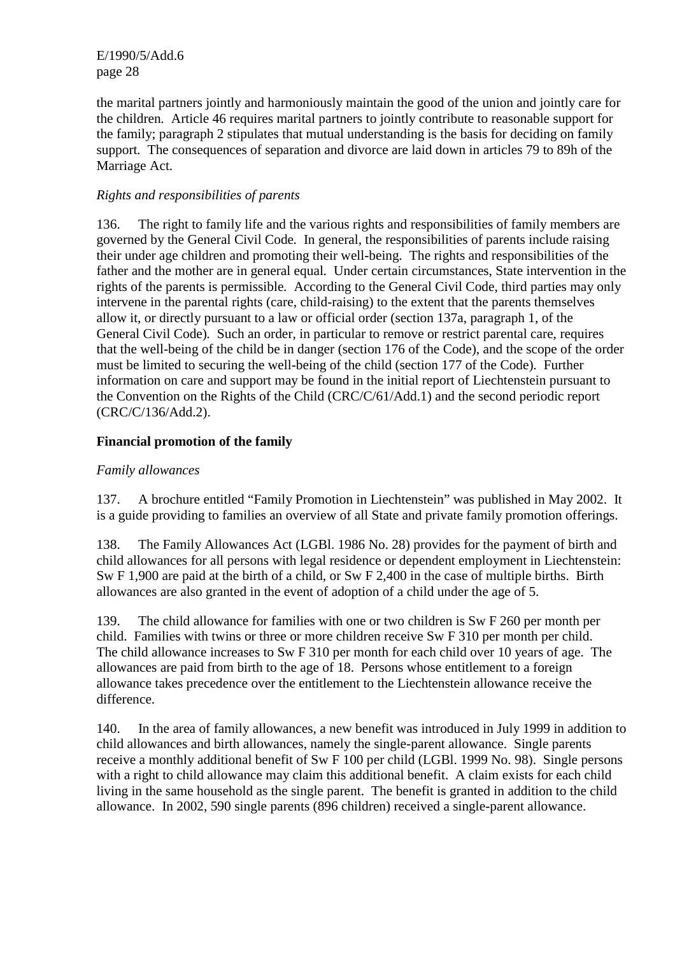the marital partners jointly and harmoniously maintain the good of the union and jointly care for the children*.* Article 46 requires marital partners to jointly contribute to reasonable support for the family; paragraph 2 stipulates that mutual understanding is the basis for deciding on family support*.* The consequences of separation and divorce are laid down in articles 79 to 89h of the Marriage Act.

## *Rights and responsibilities of parents*

136. The right to family life and the various rights and responsibilities of family members are governed by the General Civil Code*.* In general, the responsibilities of parents include raising their under age children and promoting their well-being*.* The rights and responsibilities of the father and the mother are in general equal*.* Under certain circumstances, State intervention in the rights of the parents is permissible*.* According to the General Civil Code, third parties may only intervene in the parental rights (care, child-raising) to the extent that the parents themselves allow it, or directly pursuant to a law or official order (section 137a, paragraph 1, of the General Civil Code)*.* Such an order, in particular to remove or restrict parental care, requires that the well-being of the child be in danger (section 176 of the Code), and the scope of the order must be limited to securing the well-being of the child (section 177 of the Code)*.* Further information on care and support may be found in the initial report of Liechtenstein pursuant to the Convention on the Rights of the Child (CRC/C/61/Add.1) and the second periodic report (CRC/C/136/Add.2).

## **Financial promotion of the family**

## *Family allowances*

137. A brochure entitled "Family Promotion in Liechtenstein" was published in May 2002. It is a guide providing to families an overview of all State and private family promotion offerings.

138. The Family Allowances Act (LGBl. 1986 No. 28) provides for the payment of birth and child allowances for all persons with legal residence or dependent employment in Liechtenstein: Sw F 1,900 are paid at the birth of a child, or Sw F 2,400 in the case of multiple births. Birth allowances are also granted in the event of adoption of a child under the age of 5.

139. The child allowance for families with one or two children is Sw F 260 per month per child. Families with twins or three or more children receive Sw F 310 per month per child. The child allowance increases to Sw F 310 per month for each child over 10 years of age. The allowances are paid from birth to the age of 18. Persons whose entitlement to a foreign allowance takes precedence over the entitlement to the Liechtenstein allowance receive the difference.

140. In the area of family allowances, a new benefit was introduced in July 1999 in addition to child allowances and birth allowances, namely the single-parent allowance. Single parents receive a monthly additional benefit of Sw F 100 per child (LGBl. 1999 No. 98). Single persons with a right to child allowance may claim this additional benefit. A claim exists for each child living in the same household as the single parent. The benefit is granted in addition to the child allowance. In 2002, 590 single parents (896 children) received a single-parent allowance.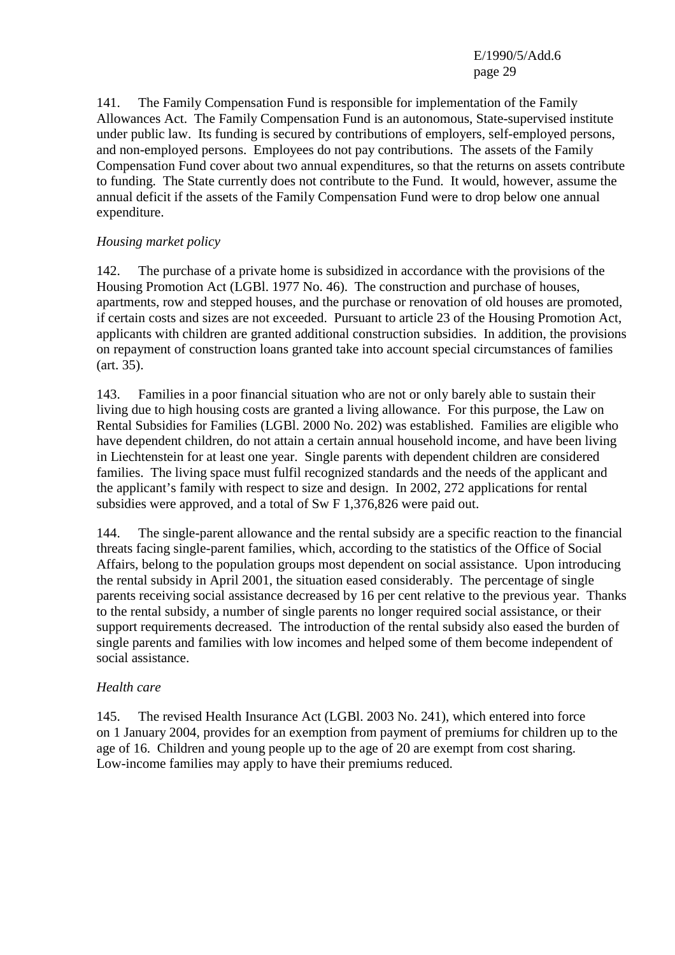141. The Family Compensation Fund is responsible for implementation of the Family Allowances Act. The Family Compensation Fund is an autonomous, State-supervised institute under public law. Its funding is secured by contributions of employers, self-employed persons, and non-employed persons. Employees do not pay contributions. The assets of the Family Compensation Fund cover about two annual expenditures, so that the returns on assets contribute to funding. The State currently does not contribute to the Fund. It would, however, assume the annual deficit if the assets of the Family Compensation Fund were to drop below one annual expenditure.

## *Housing market policy*

142. The purchase of a private home is subsidized in accordance with the provisions of the Housing Promotion Act (LGBl. 1977 No. 46). The construction and purchase of houses, apartments, row and stepped houses, and the purchase or renovation of old houses are promoted, if certain costs and sizes are not exceeded. Pursuant to article 23 of the Housing Promotion Act, applicants with children are granted additional construction subsidies. In addition, the provisions on repayment of construction loans granted take into account special circumstances of families (art. 35).

143. Families in a poor financial situation who are not or only barely able to sustain their living due to high housing costs are granted a living allowance. For this purpose, the Law on Rental Subsidies for Families (LGBl. 2000 No. 202) was established. Families are eligible who have dependent children, do not attain a certain annual household income, and have been living in Liechtenstein for at least one year. Single parents with dependent children are considered families. The living space must fulfil recognized standards and the needs of the applicant and the applicant's family with respect to size and design. In 2002, 272 applications for rental subsidies were approved, and a total of Sw F 1,376,826 were paid out.

144. The single-parent allowance and the rental subsidy are a specific reaction to the financial threats facing single-parent families, which, according to the statistics of the Office of Social Affairs, belong to the population groups most dependent on social assistance. Upon introducing the rental subsidy in April 2001, the situation eased considerably. The percentage of single parents receiving social assistance decreased by 16 per cent relative to the previous year. Thanks to the rental subsidy, a number of single parents no longer required social assistance, or their support requirements decreased. The introduction of the rental subsidy also eased the burden of single parents and families with low incomes and helped some of them become independent of social assistance.

## *Health care*

145. The revised Health Insurance Act (LGBl. 2003 No. 241), which entered into force on 1 January 2004, provides for an exemption from payment of premiums for children up to the age of 16. Children and young people up to the age of 20 are exempt from cost sharing. Low-income families may apply to have their premiums reduced.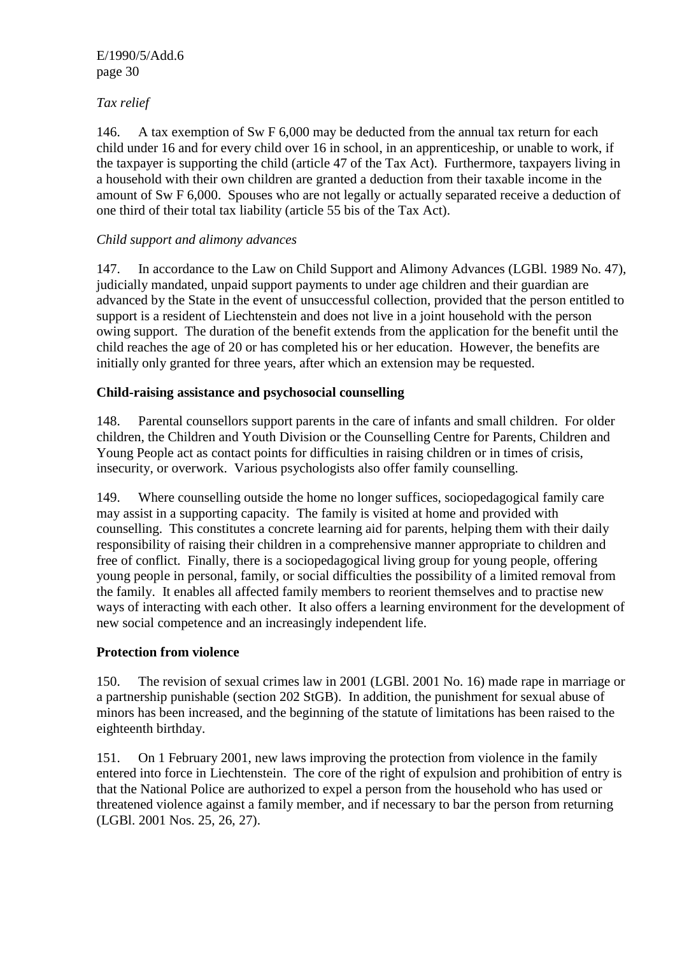# *Tax relief*

146. A tax exemption of Sw F 6,000 may be deducted from the annual tax return for each child under 16 and for every child over 16 in school, in an apprenticeship, or unable to work, if the taxpayer is supporting the child (article 47 of the Tax Act). Furthermore, taxpayers living in a household with their own children are granted a deduction from their taxable income in the amount of Sw F 6,000. Spouses who are not legally or actually separated receive a deduction of one third of their total tax liability (article 55 bis of the Tax Act).

## *Child support and alimony advances*

147. In accordance to the Law on Child Support and Alimony Advances (LGBl. 1989 No. 47), judicially mandated, unpaid support payments to under age children and their guardian are advanced by the State in the event of unsuccessful collection, provided that the person entitled to support is a resident of Liechtenstein and does not live in a joint household with the person owing support. The duration of the benefit extends from the application for the benefit until the child reaches the age of 20 or has completed his or her education. However, the benefits are initially only granted for three years, after which an extension may be requested.

## **Child-raising assistance and psychosocial counselling**

148. Parental counsellors support parents in the care of infants and small children. For older children, the Children and Youth Division or the Counselling Centre for Parents, Children and Young People act as contact points for difficulties in raising children or in times of crisis, insecurity, or overwork. Various psychologists also offer family counselling.

149. Where counselling outside the home no longer suffices, sociopedagogical family care may assist in a supporting capacity. The family is visited at home and provided with counselling. This constitutes a concrete learning aid for parents, helping them with their daily responsibility of raising their children in a comprehensive manner appropriate to children and free of conflict. Finally, there is a sociopedagogical living group for young people, offering young people in personal, family, or social difficulties the possibility of a limited removal from the family. It enables all affected family members to reorient themselves and to practise new ways of interacting with each other. It also offers a learning environment for the development of new social competence and an increasingly independent life.

## **Protection from violence**

150. The revision of sexual crimes law in 2001 (LGBl. 2001 No. 16) made rape in marriage or a partnership punishable (section 202 StGB). In addition, the punishment for sexual abuse of minors has been increased, and the beginning of the statute of limitations has been raised to the eighteenth birthday.

151. On 1 February 2001, new laws improving the protection from violence in the family entered into force in Liechtenstein. The core of the right of expulsion and prohibition of entry is that the National Police are authorized to expel a person from the household who has used or threatened violence against a family member, and if necessary to bar the person from returning (LGBl. 2001 Nos. 25, 26, 27).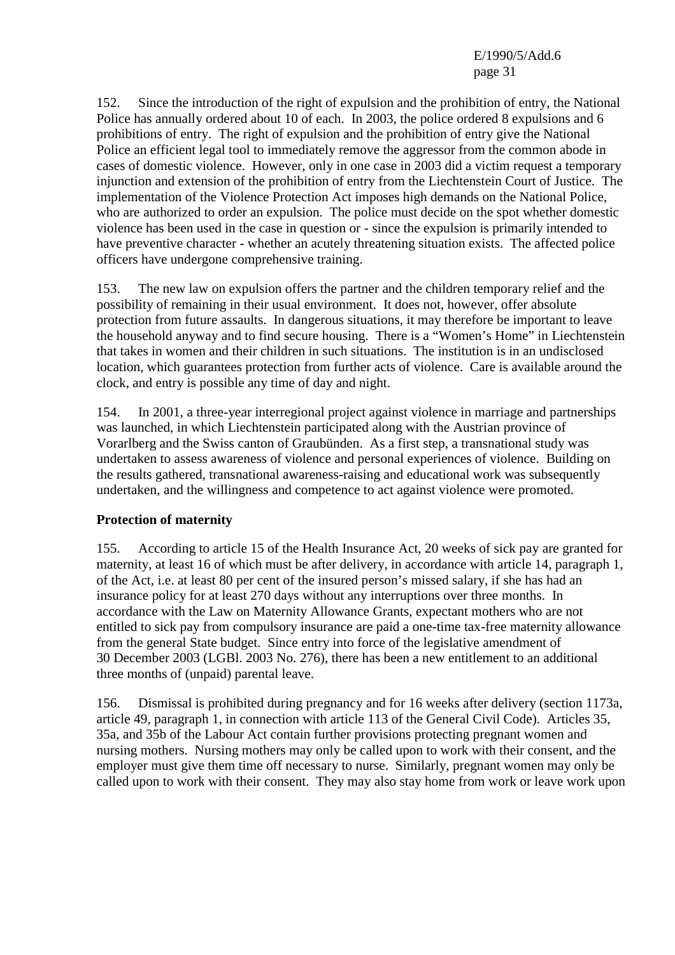152. Since the introduction of the right of expulsion and the prohibition of entry, the National Police has annually ordered about 10 of each. In 2003, the police ordered 8 expulsions and 6 prohibitions of entry. The right of expulsion and the prohibition of entry give the National Police an efficient legal tool to immediately remove the aggressor from the common abode in cases of domestic violence. However, only in one case in 2003 did a victim request a temporary injunction and extension of the prohibition of entry from the Liechtenstein Court of Justice. The implementation of the Violence Protection Act imposes high demands on the National Police, who are authorized to order an expulsion. The police must decide on the spot whether domestic violence has been used in the case in question or - since the expulsion is primarily intended to have preventive character - whether an acutely threatening situation exists. The affected police officers have undergone comprehensive training.

153. The new law on expulsion offers the partner and the children temporary relief and the possibility of remaining in their usual environment. It does not, however, offer absolute protection from future assaults. In dangerous situations, it may therefore be important to leave the household anyway and to find secure housing. There is a "Women's Home" in Liechtenstein that takes in women and their children in such situations. The institution is in an undisclosed location, which guarantees protection from further acts of violence. Care is available around the clock, and entry is possible any time of day and night.

154. In 2001, a three-year interregional project against violence in marriage and partnerships was launched, in which Liechtenstein participated along with the Austrian province of Vorarlberg and the Swiss canton of Graubünden. As a first step, a transnational study was undertaken to assess awareness of violence and personal experiences of violence. Building on the results gathered, transnational awareness-raising and educational work was subsequently undertaken, and the willingness and competence to act against violence were promoted.

## **Protection of maternity**

155. According to article 15 of the Health Insurance Act, 20 weeks of sick pay are granted for maternity, at least 16 of which must be after delivery, in accordance with article 14, paragraph 1, of the Act, i.e. at least 80 per cent of the insured person's missed salary, if she has had an insurance policy for at least 270 days without any interruptions over three months. In accordance with the Law on Maternity Allowance Grants, expectant mothers who are not entitled to sick pay from compulsory insurance are paid a one-time tax-free maternity allowance from the general State budget. Since entry into force of the legislative amendment of 30 December 2003 (LGBl. 2003 No. 276), there has been a new entitlement to an additional three months of (unpaid) parental leave.

156. Dismissal is prohibited during pregnancy and for 16 weeks after delivery (section 1173a, article 49, paragraph 1, in connection with article 113 of the General Civil Code). Articles 35, 35a, and 35b of the Labour Act contain further provisions protecting pregnant women and nursing mothers. Nursing mothers may only be called upon to work with their consent, and the employer must give them time off necessary to nurse. Similarly, pregnant women may only be called upon to work with their consent. They may also stay home from work or leave work upon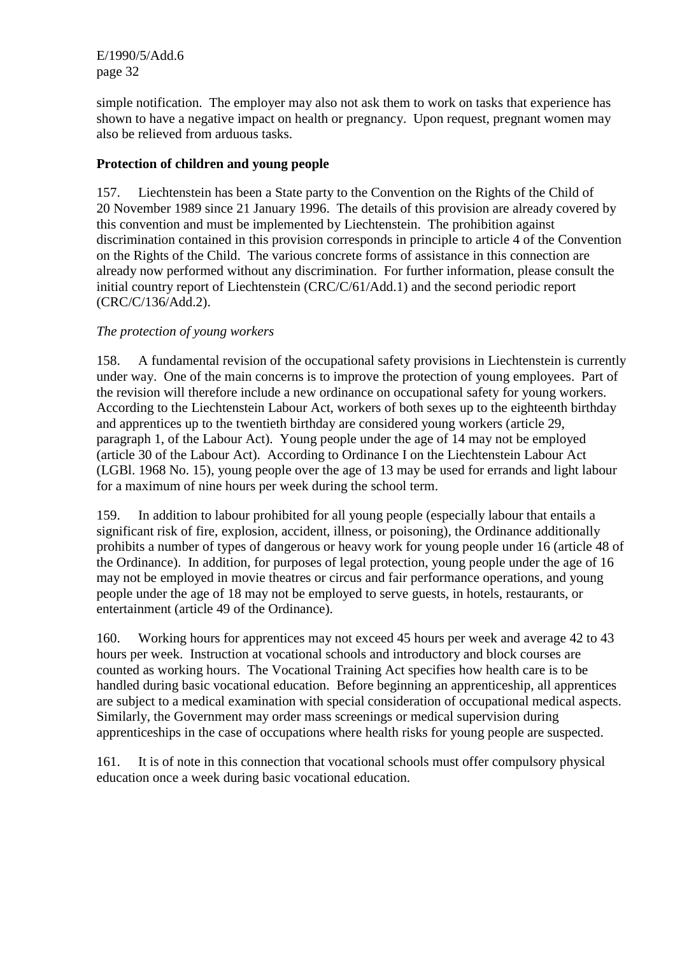simple notification. The employer may also not ask them to work on tasks that experience has shown to have a negative impact on health or pregnancy. Upon request, pregnant women may also be relieved from arduous tasks.

## **Protection of children and young people**

157. Liechtenstein has been a State party to the Convention on the Rights of the Child of 20 November 1989 since 21 January 1996. The details of this provision are already covered by this convention and must be implemented by Liechtenstein. The prohibition against discrimination contained in this provision corresponds in principle to article 4 of the Convention on the Rights of the Child. The various concrete forms of assistance in this connection are already now performed without any discrimination. For further information, please consult the initial country report of Liechtenstein (CRC/C/61/Add.1) and the second periodic report (CRC/C/136/Add.2).

## *The protection of young workers*

158. A fundamental revision of the occupational safety provisions in Liechtenstein is currently under way. One of the main concerns is to improve the protection of young employees. Part of the revision will therefore include a new ordinance on occupational safety for young workers. According to the Liechtenstein Labour Act, workers of both sexes up to the eighteenth birthday and apprentices up to the twentieth birthday are considered young workers (article 29, paragraph 1, of the Labour Act). Young people under the age of 14 may not be employed (article 30 of the Labour Act). According to Ordinance I on the Liechtenstein Labour Act (LGBl. 1968 No. 15), young people over the age of 13 may be used for errands and light labour for a maximum of nine hours per week during the school term.

159. In addition to labour prohibited for all young people (especially labour that entails a significant risk of fire, explosion, accident, illness, or poisoning), the Ordinance additionally prohibits a number of types of dangerous or heavy work for young people under 16 (article 48 of the Ordinance). In addition, for purposes of legal protection, young people under the age of 16 may not be employed in movie theatres or circus and fair performance operations, and young people under the age of 18 may not be employed to serve guests, in hotels, restaurants, or entertainment (article 49 of the Ordinance).

160. Working hours for apprentices may not exceed 45 hours per week and average 42 to 43 hours per week. Instruction at vocational schools and introductory and block courses are counted as working hours. The Vocational Training Act specifies how health care is to be handled during basic vocational education. Before beginning an apprenticeship, all apprentices are subject to a medical examination with special consideration of occupational medical aspects. Similarly, the Government may order mass screenings or medical supervision during apprenticeships in the case of occupations where health risks for young people are suspected.

161. It is of note in this connection that vocational schools must offer compulsory physical education once a week during basic vocational education.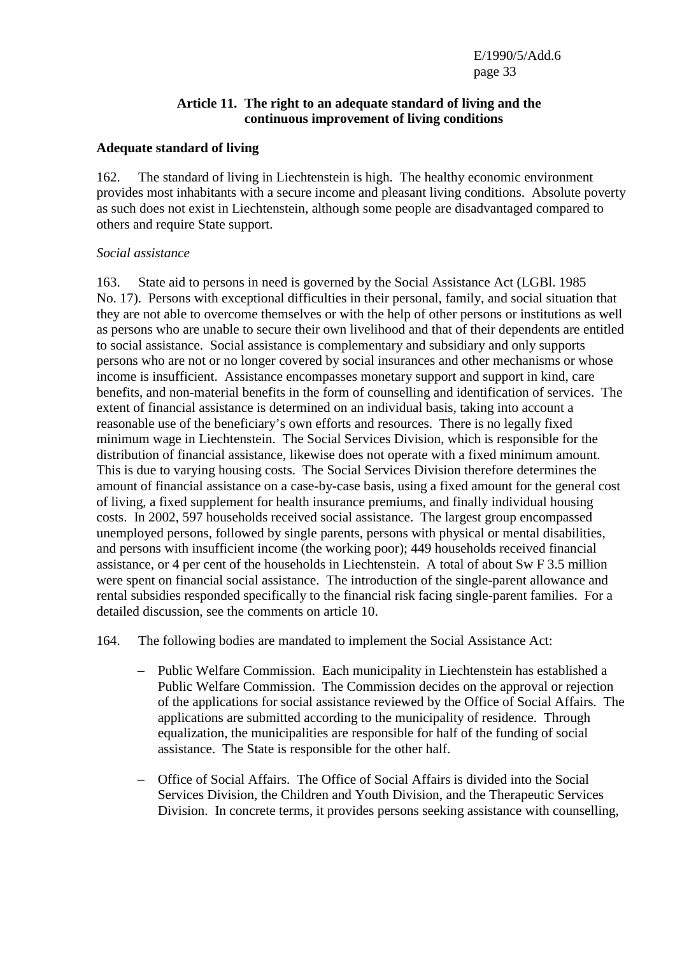#### **Article 11. The right to an adequate standard of living and the continuous improvement of living conditions**

#### **Adequate standard of living**

162. The standard of living in Liechtenstein is high. The healthy economic environment provides most inhabitants with a secure income and pleasant living conditions. Absolute poverty as such does not exist in Liechtenstein, although some people are disadvantaged compared to others and require State support.

#### *Social assistance*

163. State aid to persons in need is governed by the Social Assistance Act (LGBl. 1985 No. 17). Persons with exceptional difficulties in their personal, family, and social situation that they are not able to overcome themselves or with the help of other persons or institutions as well as persons who are unable to secure their own livelihood and that of their dependents are entitled to social assistance. Social assistance is complementary and subsidiary and only supports persons who are not or no longer covered by social insurances and other mechanisms or whose income is insufficient. Assistance encompasses monetary support and support in kind, care benefits, and non-material benefits in the form of counselling and identification of services. The extent of financial assistance is determined on an individual basis, taking into account a reasonable use of the beneficiary's own efforts and resources. There is no legally fixed minimum wage in Liechtenstein. The Social Services Division, which is responsible for the distribution of financial assistance, likewise does not operate with a fixed minimum amount. This is due to varying housing costs. The Social Services Division therefore determines the amount of financial assistance on a case-by-case basis, using a fixed amount for the general cost of living, a fixed supplement for health insurance premiums, and finally individual housing costs. In 2002, 597 households received social assistance. The largest group encompassed unemployed persons, followed by single parents, persons with physical or mental disabilities, and persons with insufficient income (the working poor); 449 households received financial assistance, or 4 per cent of the households in Liechtenstein. A total of about Sw F 3.5 million were spent on financial social assistance. The introduction of the single-parent allowance and rental subsidies responded specifically to the financial risk facing single-parent families. For a detailed discussion, see the comments on article 10.

- 164. The following bodies are mandated to implement the Social Assistance Act:
	- − Public Welfare Commission. Each municipality in Liechtenstein has established a Public Welfare Commission. The Commission decides on the approval or rejection of the applications for social assistance reviewed by the Office of Social Affairs. The applications are submitted according to the municipality of residence. Through equalization, the municipalities are responsible for half of the funding of social assistance. The State is responsible for the other half.
	- − Office of Social Affairs. The Office of Social Affairs is divided into the Social Services Division, the Children and Youth Division, and the Therapeutic Services Division. In concrete terms, it provides persons seeking assistance with counselling,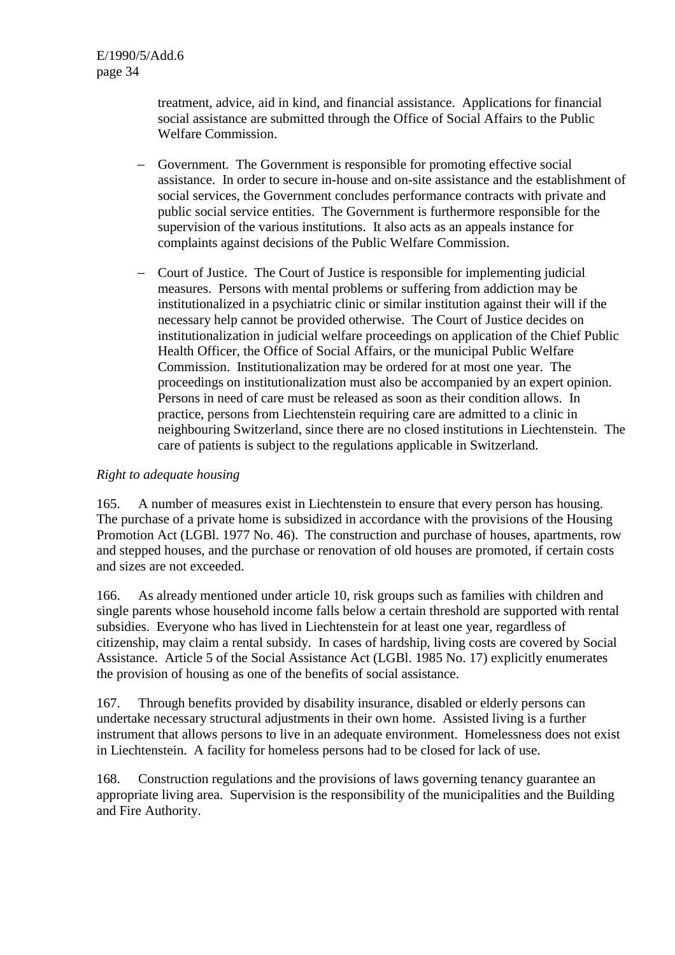treatment, advice, aid in kind, and financial assistance. Applications for financial social assistance are submitted through the Office of Social Affairs to the Public Welfare Commission.

- − Government. The Government is responsible for promoting effective social assistance. In order to secure in-house and on-site assistance and the establishment of social services, the Government concludes performance contracts with private and public social service entities. The Government is furthermore responsible for the supervision of the various institutions. It also acts as an appeals instance for complaints against decisions of the Public Welfare Commission.
- − Court of Justice. The Court of Justice is responsible for implementing judicial measures. Persons with mental problems or suffering from addiction may be institutionalized in a psychiatric clinic or similar institution against their will if the necessary help cannot be provided otherwise. The Court of Justice decides on institutionalization in judicial welfare proceedings on application of the Chief Public Health Officer, the Office of Social Affairs, or the municipal Public Welfare Commission. Institutionalization may be ordered for at most one year. The proceedings on institutionalization must also be accompanied by an expert opinion. Persons in need of care must be released as soon as their condition allows. In practice, persons from Liechtenstein requiring care are admitted to a clinic in neighbouring Switzerland, since there are no closed institutions in Liechtenstein. The care of patients is subject to the regulations applicable in Switzerland.

## *Right to adequate housing*

165. A number of measures exist in Liechtenstein to ensure that every person has housing. The purchase of a private home is subsidized in accordance with the provisions of the Housing Promotion Act (LGBl. 1977 No. 46). The construction and purchase of houses, apartments, row and stepped houses, and the purchase or renovation of old houses are promoted, if certain costs and sizes are not exceeded.

166. As already mentioned under article 10, risk groups such as families with children and single parents whose household income falls below a certain threshold are supported with rental subsidies. Everyone who has lived in Liechtenstein for at least one year, regardless of citizenship, may claim a rental subsidy. In cases of hardship, living costs are covered by Social Assistance. Article 5 of the Social Assistance Act (LGBl. 1985 No. 17) explicitly enumerates the provision of housing as one of the benefits of social assistance.

167. Through benefits provided by disability insurance, disabled or elderly persons can undertake necessary structural adjustments in their own home. Assisted living is a further instrument that allows persons to live in an adequate environment. Homelessness does not exist in Liechtenstein. A facility for homeless persons had to be closed for lack of use.

168. Construction regulations and the provisions of laws governing tenancy guarantee an appropriate living area. Supervision is the responsibility of the municipalities and the Building and Fire Authority.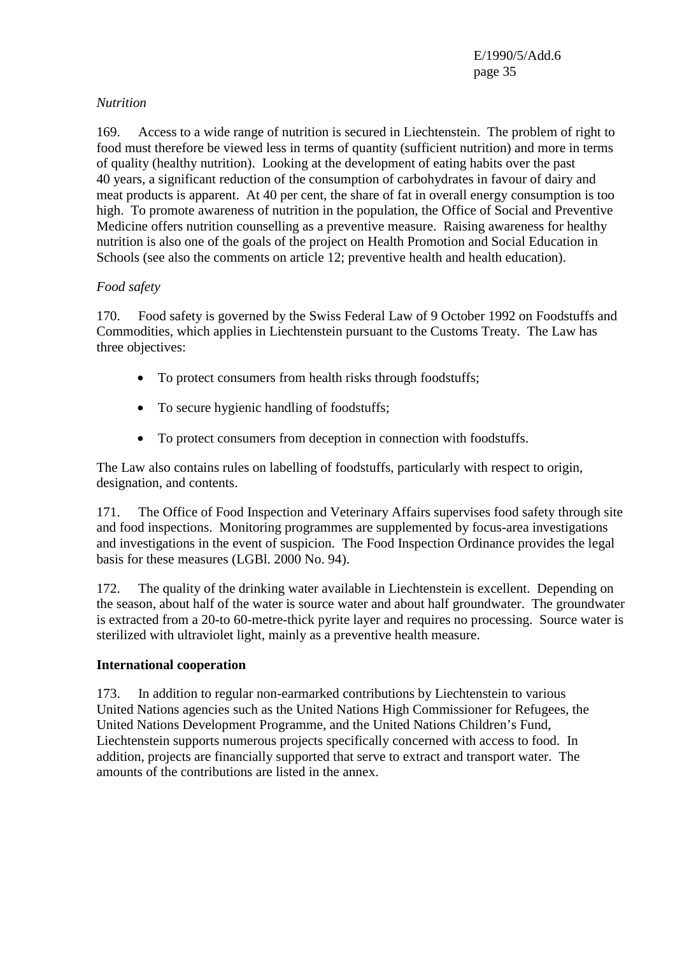#### *Nutrition*

169. Access to a wide range of nutrition is secured in Liechtenstein. The problem of right to food must therefore be viewed less in terms of quantity (sufficient nutrition) and more in terms of quality (healthy nutrition). Looking at the development of eating habits over the past 40 years, a significant reduction of the consumption of carbohydrates in favour of dairy and meat products is apparent. At 40 per cent, the share of fat in overall energy consumption is too high. To promote awareness of nutrition in the population, the Office of Social and Preventive Medicine offers nutrition counselling as a preventive measure. Raising awareness for healthy nutrition is also one of the goals of the project on Health Promotion and Social Education in Schools (see also the comments on article 12; preventive health and health education).

## *Food safety*

170. Food safety is governed by the Swiss Federal Law of 9 October 1992 on Foodstuffs and Commodities, which applies in Liechtenstein pursuant to the Customs Treaty. The Law has three objectives:

- To protect consumers from health risks through foodstuffs;
- To secure hygienic handling of foodstuffs;
- To protect consumers from deception in connection with foodstuffs.

The Law also contains rules on labelling of foodstuffs, particularly with respect to origin, designation, and contents.

171. The Office of Food Inspection and Veterinary Affairs supervises food safety through site and food inspections. Monitoring programmes are supplemented by focus-area investigations and investigations in the event of suspicion. The Food Inspection Ordinance provides the legal basis for these measures (LGBl. 2000 No. 94).

172. The quality of the drinking water available in Liechtenstein is excellent. Depending on the season, about half of the water is source water and about half groundwater. The groundwater is extracted from a 20-to 60-metre-thick pyrite layer and requires no processing. Source water is sterilized with ultraviolet light, mainly as a preventive health measure.

#### **International cooperation**

173. In addition to regular non-earmarked contributions by Liechtenstein to various United Nations agencies such as the United Nations High Commissioner for Refugees, the United Nations Development Programme, and the United Nations Children's Fund, Liechtenstein supports numerous projects specifically concerned with access to food. In addition, projects are financially supported that serve to extract and transport water. The amounts of the contributions are listed in the annex.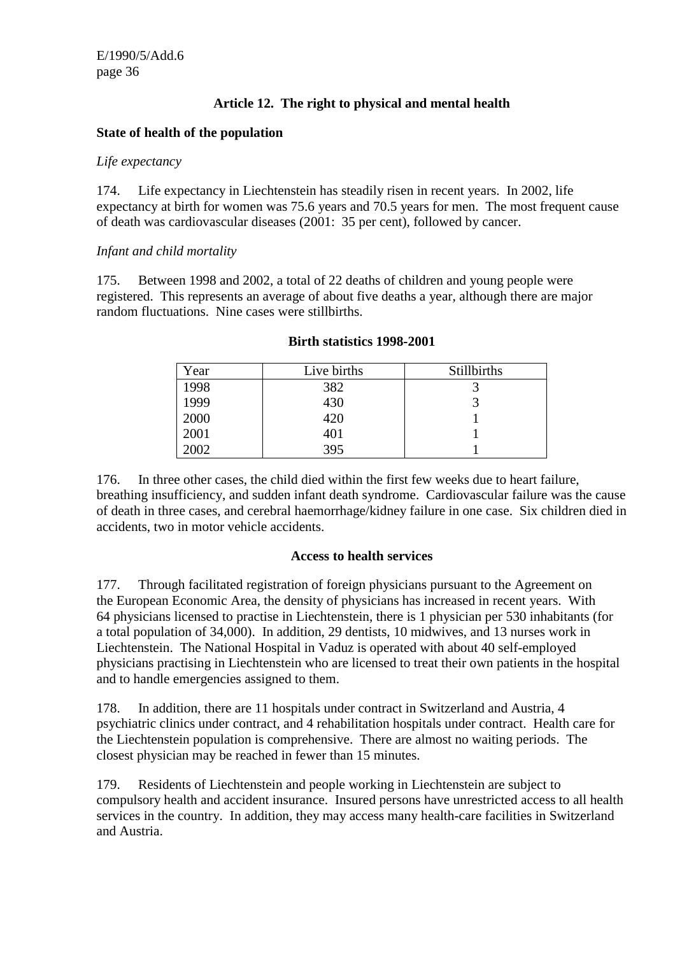## **Article 12. The right to physical and mental health**

#### **State of health of the population**

#### *Life expectancy*

174. Life expectancy in Liechtenstein has steadily risen in recent years. In 2002, life expectancy at birth for women was 75.6 years and 70.5 years for men. The most frequent cause of death was cardiovascular diseases (2001: 35 per cent), followed by cancer.

#### *Infant and child mortality*

175. Between 1998 and 2002, a total of 22 deaths of children and young people were registered. This represents an average of about five deaths a year, although there are major random fluctuations. Nine cases were stillbirths.

| Year | Live births | Stillbirths |
|------|-------------|-------------|
| 1998 | 382         |             |
| 1999 | 430         |             |
| 2000 | 420         |             |
| 2001 | 401         |             |
| 2002 | 395         |             |

#### **Birth statistics 1998-2001**

176. In three other cases, the child died within the first few weeks due to heart failure, breathing insufficiency, and sudden infant death syndrome. Cardiovascular failure was the cause of death in three cases, and cerebral haemorrhage/kidney failure in one case. Six children died in accidents, two in motor vehicle accidents.

#### **Access to health services**

177. Through facilitated registration of foreign physicians pursuant to the Agreement on the European Economic Area, the density of physicians has increased in recent years. With 64 physicians licensed to practise in Liechtenstein, there is 1 physician per 530 inhabitants (for a total population of 34,000). In addition, 29 dentists, 10 midwives, and 13 nurses work in Liechtenstein. The National Hospital in Vaduz is operated with about 40 self-employed physicians practising in Liechtenstein who are licensed to treat their own patients in the hospital and to handle emergencies assigned to them.

178. In addition, there are 11 hospitals under contract in Switzerland and Austria, 4 psychiatric clinics under contract, and 4 rehabilitation hospitals under contract. Health care for the Liechtenstein population is comprehensive. There are almost no waiting periods. The closest physician may be reached in fewer than 15 minutes.

179. Residents of Liechtenstein and people working in Liechtenstein are subject to compulsory health and accident insurance. Insured persons have unrestricted access to all health services in the country. In addition, they may access many health-care facilities in Switzerland and Austria.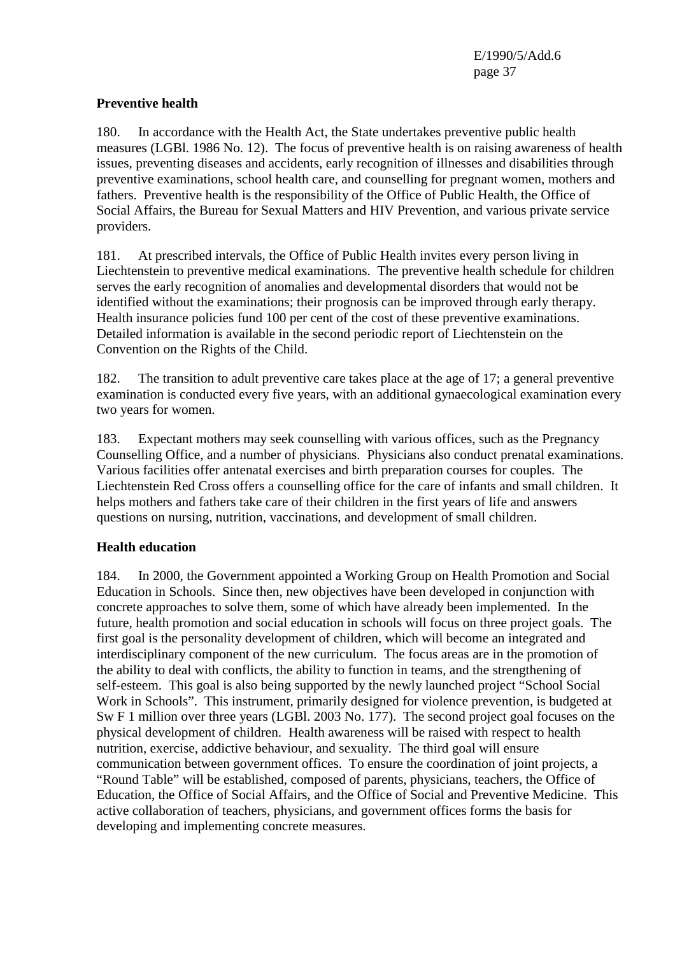### **Preventive health**

180. In accordance with the Health Act, the State undertakes preventive public health measures (LGBl. 1986 No. 12). The focus of preventive health is on raising awareness of health issues, preventing diseases and accidents, early recognition of illnesses and disabilities through preventive examinations, school health care, and counselling for pregnant women, mothers and fathers. Preventive health is the responsibility of the Office of Public Health, the Office of Social Affairs, the Bureau for Sexual Matters and HIV Prevention, and various private service providers.

181. At prescribed intervals, the Office of Public Health invites every person living in Liechtenstein to preventive medical examinations. The preventive health schedule for children serves the early recognition of anomalies and developmental disorders that would not be identified without the examinations; their prognosis can be improved through early therapy. Health insurance policies fund 100 per cent of the cost of these preventive examinations. Detailed information is available in the second periodic report of Liechtenstein on the Convention on the Rights of the Child.

182. The transition to adult preventive care takes place at the age of 17; a general preventive examination is conducted every five years, with an additional gynaecological examination every two years for women.

183. Expectant mothers may seek counselling with various offices, such as the Pregnancy Counselling Office, and a number of physicians. Physicians also conduct prenatal examinations. Various facilities offer antenatal exercises and birth preparation courses for couples. The Liechtenstein Red Cross offers a counselling office for the care of infants and small children. It helps mothers and fathers take care of their children in the first years of life and answers questions on nursing, nutrition, vaccinations, and development of small children.

#### **Health education**

184. In 2000, the Government appointed a Working Group on Health Promotion and Social Education in Schools. Since then, new objectives have been developed in conjunction with concrete approaches to solve them, some of which have already been implemented. In the future, health promotion and social education in schools will focus on three project goals. The first goal is the personality development of children, which will become an integrated and interdisciplinary component of the new curriculum. The focus areas are in the promotion of the ability to deal with conflicts, the ability to function in teams, and the strengthening of self-esteem. This goal is also being supported by the newly launched project "School Social Work in Schools". This instrument, primarily designed for violence prevention, is budgeted at Sw F 1 million over three years (LGBl. 2003 No. 177). The second project goal focuses on the physical development of children. Health awareness will be raised with respect to health nutrition, exercise, addictive behaviour, and sexuality. The third goal will ensure communication between government offices. To ensure the coordination of joint projects, a "Round Table" will be established, composed of parents, physicians, teachers, the Office of Education, the Office of Social Affairs, and the Office of Social and Preventive Medicine. This active collaboration of teachers, physicians, and government offices forms the basis for developing and implementing concrete measures.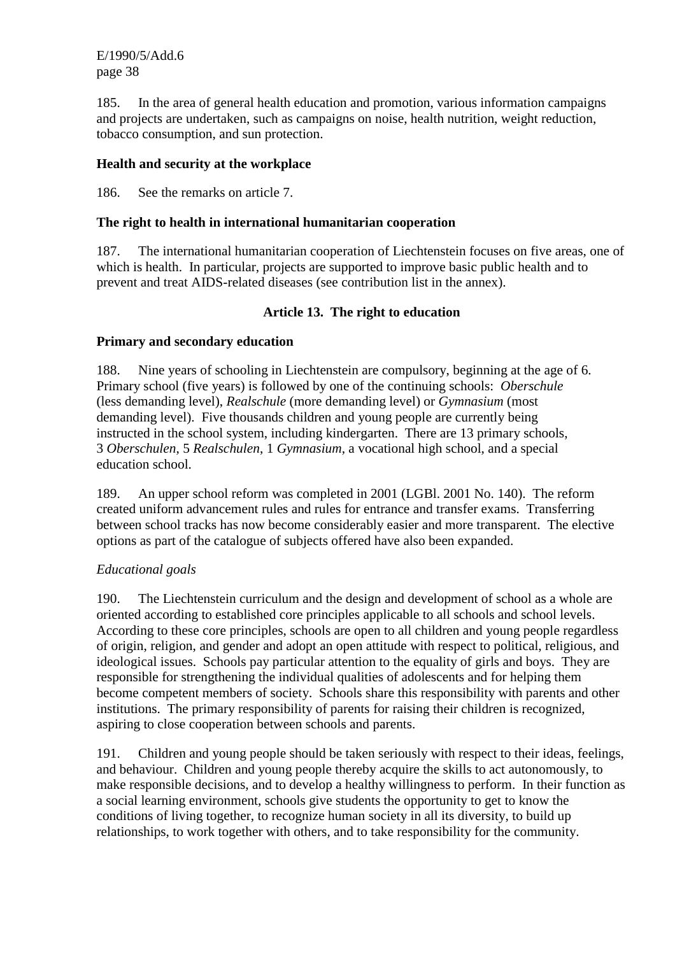185. In the area of general health education and promotion, various information campaigns and projects are undertaken, such as campaigns on noise, health nutrition, weight reduction, tobacco consumption, and sun protection.

## **Health and security at the workplace**

186. See the remarks on article 7.

## **The right to health in international humanitarian cooperation**

187. The international humanitarian cooperation of Liechtenstein focuses on five areas, one of which is health. In particular, projects are supported to improve basic public health and to prevent and treat AIDS-related diseases (see contribution list in the annex).

## **Article 13. The right to education**

## **Primary and secondary education**

188. Nine years of schooling in Liechtenstein are compulsory, beginning at the age of 6. Primary school (five years) is followed by one of the continuing schools: *Oberschule* (less demanding level), *Realschule* (more demanding level) or *Gymnasium* (most demanding level). Five thousands children and young people are currently being instructed in the school system, including kindergarten. There are 13 primary schools, 3 *Oberschulen*, 5 *Realschulen*, 1 *Gymnasium*, a vocational high school, and a special education school.

189. An upper school reform was completed in 2001 (LGBl. 2001 No. 140). The reform created uniform advancement rules and rules for entrance and transfer exams. Transferring between school tracks has now become considerably easier and more transparent. The elective options as part of the catalogue of subjects offered have also been expanded.

# *Educational goals*

190. The Liechtenstein curriculum and the design and development of school as a whole are oriented according to established core principles applicable to all schools and school levels. According to these core principles, schools are open to all children and young people regardless of origin, religion, and gender and adopt an open attitude with respect to political, religious, and ideological issues. Schools pay particular attention to the equality of girls and boys. They are responsible for strengthening the individual qualities of adolescents and for helping them become competent members of society. Schools share this responsibility with parents and other institutions. The primary responsibility of parents for raising their children is recognized, aspiring to close cooperation between schools and parents.

191. Children and young people should be taken seriously with respect to their ideas, feelings, and behaviour. Children and young people thereby acquire the skills to act autonomously, to make responsible decisions, and to develop a healthy willingness to perform. In their function as a social learning environment, schools give students the opportunity to get to know the conditions of living together, to recognize human society in all its diversity, to build up relationships, to work together with others, and to take responsibility for the community.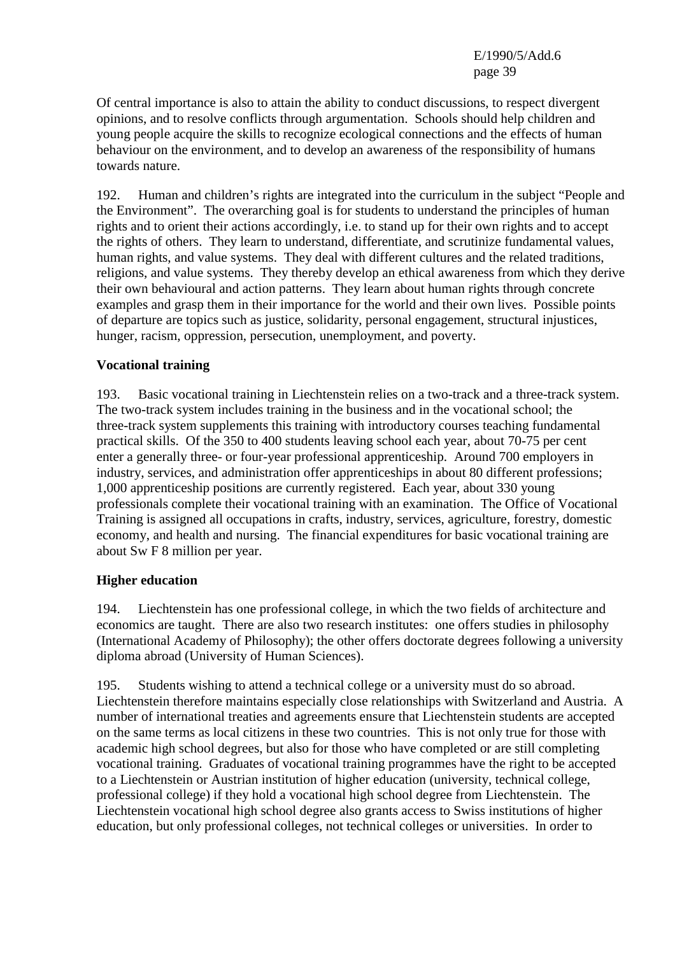Of central importance is also to attain the ability to conduct discussions, to respect divergent opinions, and to resolve conflicts through argumentation. Schools should help children and young people acquire the skills to recognize ecological connections and the effects of human behaviour on the environment, and to develop an awareness of the responsibility of humans towards nature.

192. Human and children's rights are integrated into the curriculum in the subject "People and the Environment". The overarching goal is for students to understand the principles of human rights and to orient their actions accordingly, i.e. to stand up for their own rights and to accept the rights of others. They learn to understand, differentiate, and scrutinize fundamental values, human rights, and value systems. They deal with different cultures and the related traditions, religions, and value systems. They thereby develop an ethical awareness from which they derive their own behavioural and action patterns. They learn about human rights through concrete examples and grasp them in their importance for the world and their own lives. Possible points of departure are topics such as justice, solidarity, personal engagement, structural injustices, hunger, racism, oppression, persecution, unemployment, and poverty.

## **Vocational training**

193. Basic vocational training in Liechtenstein relies on a two-track and a three-track system. The two-track system includes training in the business and in the vocational school; the three-track system supplements this training with introductory courses teaching fundamental practical skills. Of the 350 to 400 students leaving school each year, about 70-75 per cent enter a generally three- or four-year professional apprenticeship. Around 700 employers in industry, services, and administration offer apprenticeships in about 80 different professions; 1,000 apprenticeship positions are currently registered. Each year, about 330 young professionals complete their vocational training with an examination. The Office of Vocational Training is assigned all occupations in crafts, industry, services, agriculture, forestry, domestic economy, and health and nursing. The financial expenditures for basic vocational training are about Sw F 8 million per year.

## **Higher education**

194. Liechtenstein has one professional college, in which the two fields of architecture and economics are taught. There are also two research institutes: one offers studies in philosophy (International Academy of Philosophy); the other offers doctorate degrees following a university diploma abroad (University of Human Sciences).

195. Students wishing to attend a technical college or a university must do so abroad. Liechtenstein therefore maintains especially close relationships with Switzerland and Austria. A number of international treaties and agreements ensure that Liechtenstein students are accepted on the same terms as local citizens in these two countries. This is not only true for those with academic high school degrees, but also for those who have completed or are still completing vocational training. Graduates of vocational training programmes have the right to be accepted to a Liechtenstein or Austrian institution of higher education (university, technical college, professional college) if they hold a vocational high school degree from Liechtenstein. The Liechtenstein vocational high school degree also grants access to Swiss institutions of higher education, but only professional colleges, not technical colleges or universities. In order to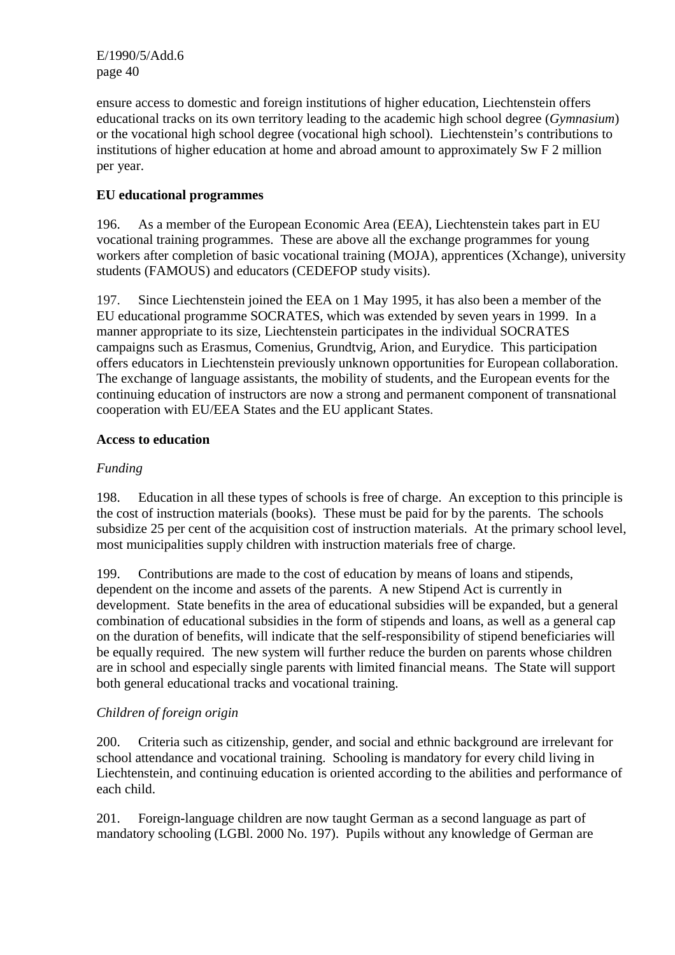ensure access to domestic and foreign institutions of higher education, Liechtenstein offers educational tracks on its own territory leading to the academic high school degree (*Gymnasium*) or the vocational high school degree (vocational high school). Liechtenstein's contributions to institutions of higher education at home and abroad amount to approximately Sw F 2 million per year.

# **EU educational programmes**

196. As a member of the European Economic Area (EEA), Liechtenstein takes part in EU vocational training programmes. These are above all the exchange programmes for young workers after completion of basic vocational training (MOJA), apprentices (Xchange), university students (FAMOUS) and educators (CEDEFOP study visits).

197. Since Liechtenstein joined the EEA on 1 May 1995, it has also been a member of the EU educational programme SOCRATES, which was extended by seven years in 1999. In a manner appropriate to its size, Liechtenstein participates in the individual SOCRATES campaigns such as Erasmus, Comenius, Grundtvig, Arion, and Eurydice. This participation offers educators in Liechtenstein previously unknown opportunities for European collaboration. The exchange of language assistants, the mobility of students, and the European events for the continuing education of instructors are now a strong and permanent component of transnational cooperation with EU/EEA States and the EU applicant States.

## **Access to education**

## *Funding*

198. Education in all these types of schools is free of charge. An exception to this principle is the cost of instruction materials (books). These must be paid for by the parents. The schools subsidize 25 per cent of the acquisition cost of instruction materials. At the primary school level, most municipalities supply children with instruction materials free of charge.

199. Contributions are made to the cost of education by means of loans and stipends, dependent on the income and assets of the parents. A new Stipend Act is currently in development. State benefits in the area of educational subsidies will be expanded, but a general combination of educational subsidies in the form of stipends and loans, as well as a general cap on the duration of benefits, will indicate that the self-responsibility of stipend beneficiaries will be equally required. The new system will further reduce the burden on parents whose children are in school and especially single parents with limited financial means. The State will support both general educational tracks and vocational training.

# *Children of foreign origin*

200. Criteria such as citizenship, gender, and social and ethnic background are irrelevant for school attendance and vocational training. Schooling is mandatory for every child living in Liechtenstein, and continuing education is oriented according to the abilities and performance of each child.

201. Foreign-language children are now taught German as a second language as part of mandatory schooling (LGBl. 2000 No. 197). Pupils without any knowledge of German are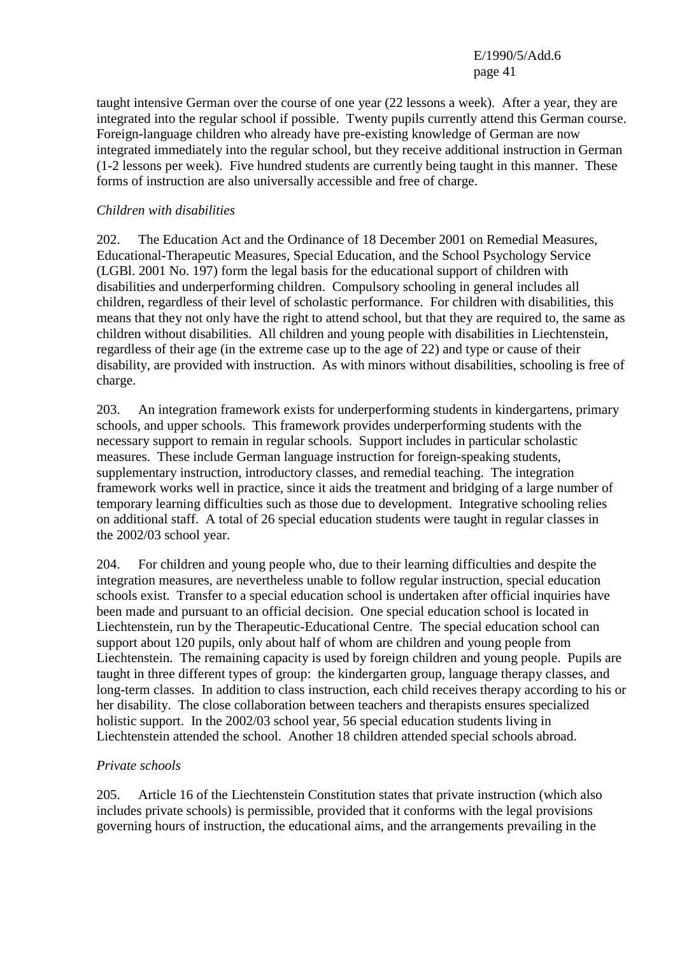taught intensive German over the course of one year (22 lessons a week). After a year, they are integrated into the regular school if possible. Twenty pupils currently attend this German course. Foreign-language children who already have pre-existing knowledge of German are now integrated immediately into the regular school, but they receive additional instruction in German (1-2 lessons per week). Five hundred students are currently being taught in this manner. These forms of instruction are also universally accessible and free of charge.

#### *Children with disabilities*

202. The Education Act and the Ordinance of 18 December 2001 on Remedial Measures, Educational-Therapeutic Measures, Special Education, and the School Psychology Service (LGBl. 2001 No. 197) form the legal basis for the educational support of children with disabilities and underperforming children. Compulsory schooling in general includes all children, regardless of their level of scholastic performance. For children with disabilities, this means that they not only have the right to attend school, but that they are required to, the same as children without disabilities. All children and young people with disabilities in Liechtenstein, regardless of their age (in the extreme case up to the age of 22) and type or cause of their disability, are provided with instruction. As with minors without disabilities, schooling is free of charge.

203. An integration framework exists for underperforming students in kindergartens, primary schools, and upper schools. This framework provides underperforming students with the necessary support to remain in regular schools. Support includes in particular scholastic measures. These include German language instruction for foreign-speaking students, supplementary instruction, introductory classes, and remedial teaching. The integration framework works well in practice, since it aids the treatment and bridging of a large number of temporary learning difficulties such as those due to development. Integrative schooling relies on additional staff. A total of 26 special education students were taught in regular classes in the 2002/03 school year.

204. For children and young people who, due to their learning difficulties and despite the integration measures, are nevertheless unable to follow regular instruction, special education schools exist. Transfer to a special education school is undertaken after official inquiries have been made and pursuant to an official decision. One special education school is located in Liechtenstein, run by the Therapeutic-Educational Centre. The special education school can support about 120 pupils, only about half of whom are children and young people from Liechtenstein. The remaining capacity is used by foreign children and young people. Pupils are taught in three different types of group: the kindergarten group, language therapy classes, and long-term classes. In addition to class instruction, each child receives therapy according to his or her disability. The close collaboration between teachers and therapists ensures specialized holistic support. In the 2002/03 school year, 56 special education students living in Liechtenstein attended the school. Another 18 children attended special schools abroad.

#### *Private schools*

205. Article 16 of the Liechtenstein Constitution states that private instruction (which also includes private schools) is permissible, provided that it conforms with the legal provisions governing hours of instruction, the educational aims, and the arrangements prevailing in the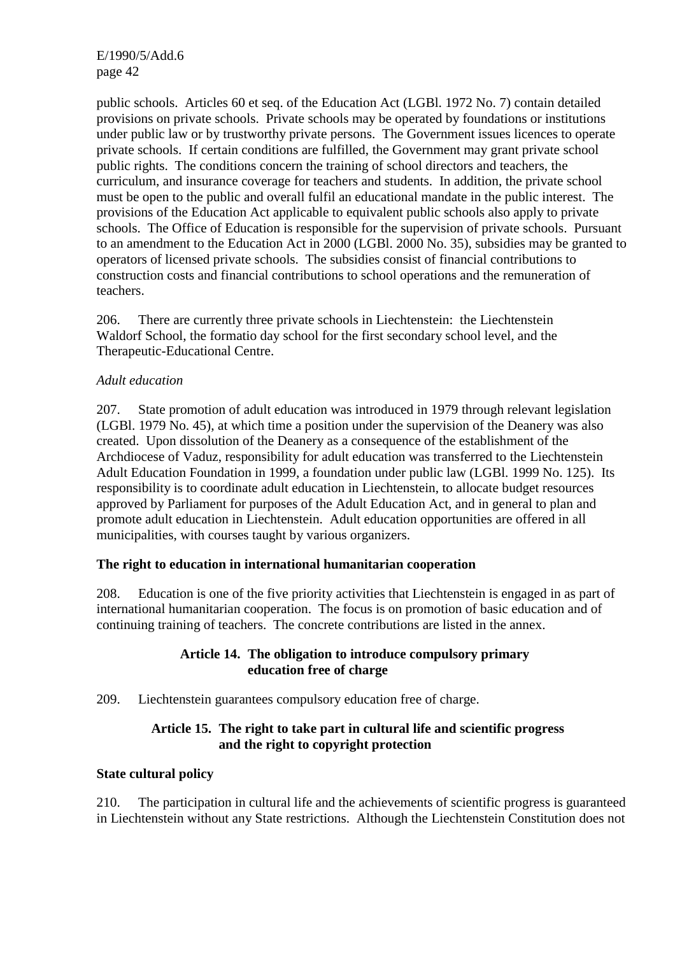public schools. Articles 60 et seq. of the Education Act (LGBl. 1972 No. 7) contain detailed provisions on private schools. Private schools may be operated by foundations or institutions under public law or by trustworthy private persons. The Government issues licences to operate private schools. If certain conditions are fulfilled, the Government may grant private school public rights. The conditions concern the training of school directors and teachers, the curriculum, and insurance coverage for teachers and students. In addition, the private school must be open to the public and overall fulfil an educational mandate in the public interest. The provisions of the Education Act applicable to equivalent public schools also apply to private schools. The Office of Education is responsible for the supervision of private schools. Pursuant to an amendment to the Education Act in 2000 (LGBl. 2000 No. 35), subsidies may be granted to operators of licensed private schools. The subsidies consist of financial contributions to construction costs and financial contributions to school operations and the remuneration of teachers.

206. There are currently three private schools in Liechtenstein: the Liechtenstein Waldorf School, the formatio day school for the first secondary school level, and the Therapeutic-Educational Centre.

#### *Adult education*

207. State promotion of adult education was introduced in 1979 through relevant legislation (LGBl. 1979 No. 45), at which time a position under the supervision of the Deanery was also created. Upon dissolution of the Deanery as a consequence of the establishment of the Archdiocese of Vaduz, responsibility for adult education was transferred to the Liechtenstein Adult Education Foundation in 1999, a foundation under public law (LGBl. 1999 No. 125). Its responsibility is to coordinate adult education in Liechtenstein, to allocate budget resources approved by Parliament for purposes of the Adult Education Act, and in general to plan and promote adult education in Liechtenstein. Adult education opportunities are offered in all municipalities, with courses taught by various organizers.

#### **The right to education in international humanitarian cooperation**

208. Education is one of the five priority activities that Liechtenstein is engaged in as part of international humanitarian cooperation. The focus is on promotion of basic education and of continuing training of teachers. The concrete contributions are listed in the annex.

#### **Article 14. The obligation to introduce compulsory primary education free of charge**

209. Liechtenstein guarantees compulsory education free of charge.

## **Article 15. The right to take part in cultural life and scientific progress and the right to copyright protection**

#### **State cultural policy**

210. The participation in cultural life and the achievements of scientific progress is guaranteed in Liechtenstein without any State restrictions. Although the Liechtenstein Constitution does not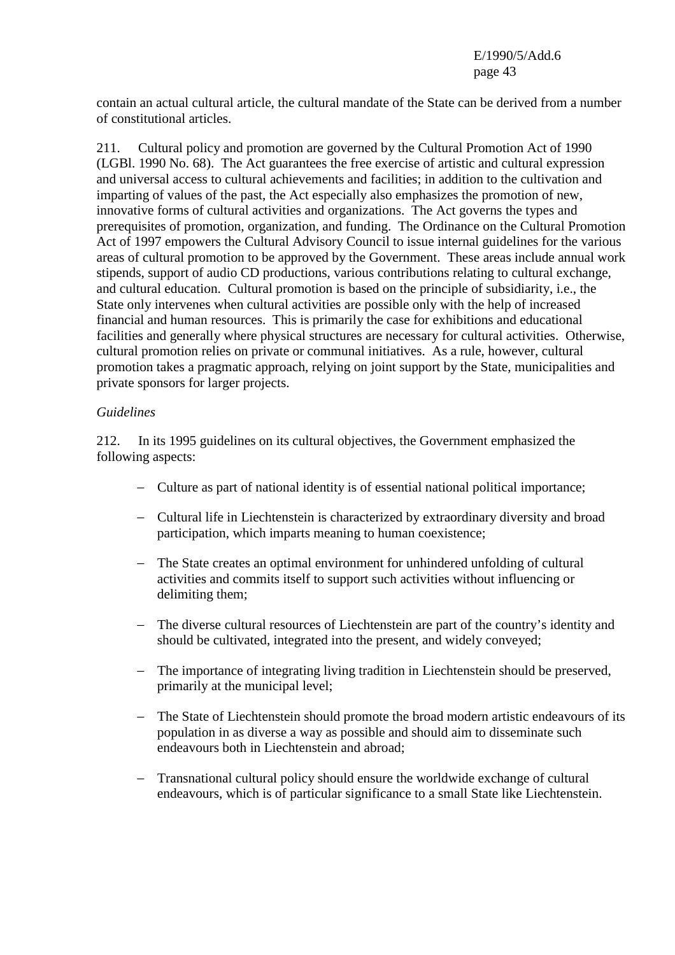contain an actual cultural article, the cultural mandate of the State can be derived from a number of constitutional articles.

211. Cultural policy and promotion are governed by the Cultural Promotion Act of 1990 (LGBl. 1990 No. 68). The Act guarantees the free exercise of artistic and cultural expression and universal access to cultural achievements and facilities; in addition to the cultivation and imparting of values of the past, the Act especially also emphasizes the promotion of new, innovative forms of cultural activities and organizations. The Act governs the types and prerequisites of promotion, organization, and funding. The Ordinance on the Cultural Promotion Act of 1997 empowers the Cultural Advisory Council to issue internal guidelines for the various areas of cultural promotion to be approved by the Government. These areas include annual work stipends, support of audio CD productions, various contributions relating to cultural exchange, and cultural education. Cultural promotion is based on the principle of subsidiarity, i.e., the State only intervenes when cultural activities are possible only with the help of increased financial and human resources. This is primarily the case for exhibitions and educational facilities and generally where physical structures are necessary for cultural activities. Otherwise, cultural promotion relies on private or communal initiatives. As a rule, however, cultural promotion takes a pragmatic approach, relying on joint support by the State, municipalities and private sponsors for larger projects.

#### *Guidelines*

212. In its 1995 guidelines on its cultural objectives, the Government emphasized the following aspects:

- − Culture as part of national identity is of essential national political importance;
- − Cultural life in Liechtenstein is characterized by extraordinary diversity and broad participation, which imparts meaning to human coexistence;
- − The State creates an optimal environment for unhindered unfolding of cultural activities and commits itself to support such activities without influencing or delimiting them;
- − The diverse cultural resources of Liechtenstein are part of the country's identity and should be cultivated, integrated into the present, and widely conveyed;
- − The importance of integrating living tradition in Liechtenstein should be preserved, primarily at the municipal level;
- − The State of Liechtenstein should promote the broad modern artistic endeavours of its population in as diverse a way as possible and should aim to disseminate such endeavours both in Liechtenstein and abroad;
- − Transnational cultural policy should ensure the worldwide exchange of cultural endeavours, which is of particular significance to a small State like Liechtenstein.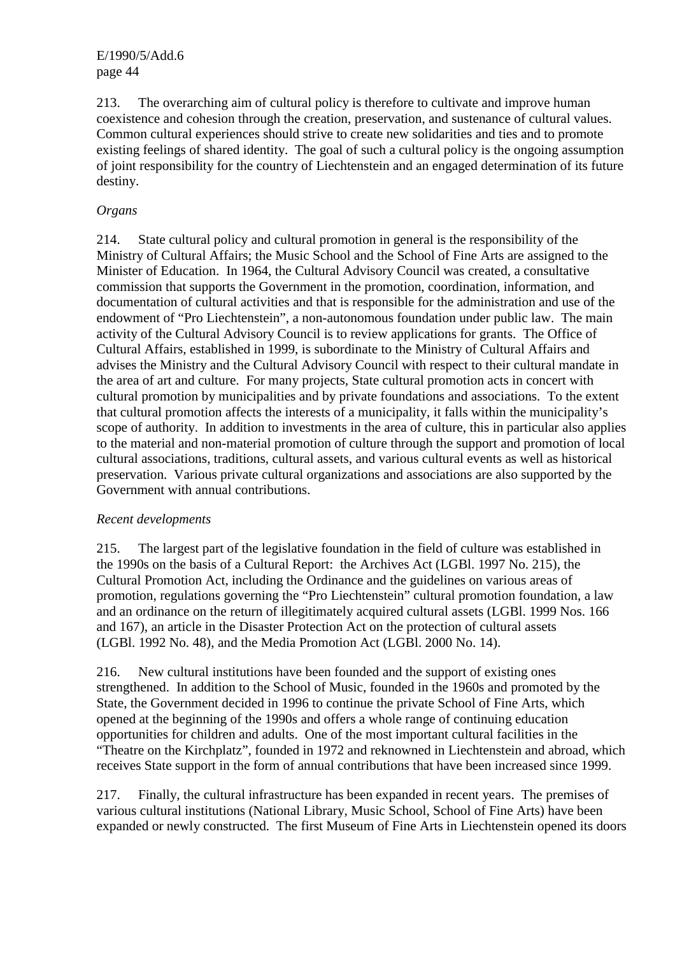213. The overarching aim of cultural policy is therefore to cultivate and improve human coexistence and cohesion through the creation, preservation, and sustenance of cultural values. Common cultural experiences should strive to create new solidarities and ties and to promote existing feelings of shared identity. The goal of such a cultural policy is the ongoing assumption of joint responsibility for the country of Liechtenstein and an engaged determination of its future destiny.

## *Organs*

214. State cultural policy and cultural promotion in general is the responsibility of the Ministry of Cultural Affairs; the Music School and the School of Fine Arts are assigned to the Minister of Education. In 1964, the Cultural Advisory Council was created, a consultative commission that supports the Government in the promotion, coordination, information, and documentation of cultural activities and that is responsible for the administration and use of the endowment of "Pro Liechtenstein", a non-autonomous foundation under public law. The main activity of the Cultural Advisory Council is to review applications for grants. The Office of Cultural Affairs, established in 1999, is subordinate to the Ministry of Cultural Affairs and advises the Ministry and the Cultural Advisory Council with respect to their cultural mandate in the area of art and culture. For many projects, State cultural promotion acts in concert with cultural promotion by municipalities and by private foundations and associations. To the extent that cultural promotion affects the interests of a municipality, it falls within the municipality's scope of authority. In addition to investments in the area of culture, this in particular also applies to the material and non-material promotion of culture through the support and promotion of local cultural associations, traditions, cultural assets, and various cultural events as well as historical preservation. Various private cultural organizations and associations are also supported by the Government with annual contributions.

## *Recent developments*

215. The largest part of the legislative foundation in the field of culture was established in the 1990s on the basis of a Cultural Report: the Archives Act (LGBl. 1997 No. 215), the Cultural Promotion Act, including the Ordinance and the guidelines on various areas of promotion, regulations governing the "Pro Liechtenstein" cultural promotion foundation, a law and an ordinance on the return of illegitimately acquired cultural assets (LGBl. 1999 Nos. 166 and 167), an article in the Disaster Protection Act on the protection of cultural assets (LGBl. 1992 No. 48), and the Media Promotion Act (LGBl. 2000 No. 14).

216. New cultural institutions have been founded and the support of existing ones strengthened. In addition to the School of Music, founded in the 1960s and promoted by the State, the Government decided in 1996 to continue the private School of Fine Arts, which opened at the beginning of the 1990s and offers a whole range of continuing education opportunities for children and adults. One of the most important cultural facilities in the "Theatre on the Kirchplatz", founded in 1972 and reknowned in Liechtenstein and abroad, which receives State support in the form of annual contributions that have been increased since 1999.

217. Finally, the cultural infrastructure has been expanded in recent years. The premises of various cultural institutions (National Library, Music School, School of Fine Arts) have been expanded or newly constructed. The first Museum of Fine Arts in Liechtenstein opened its doors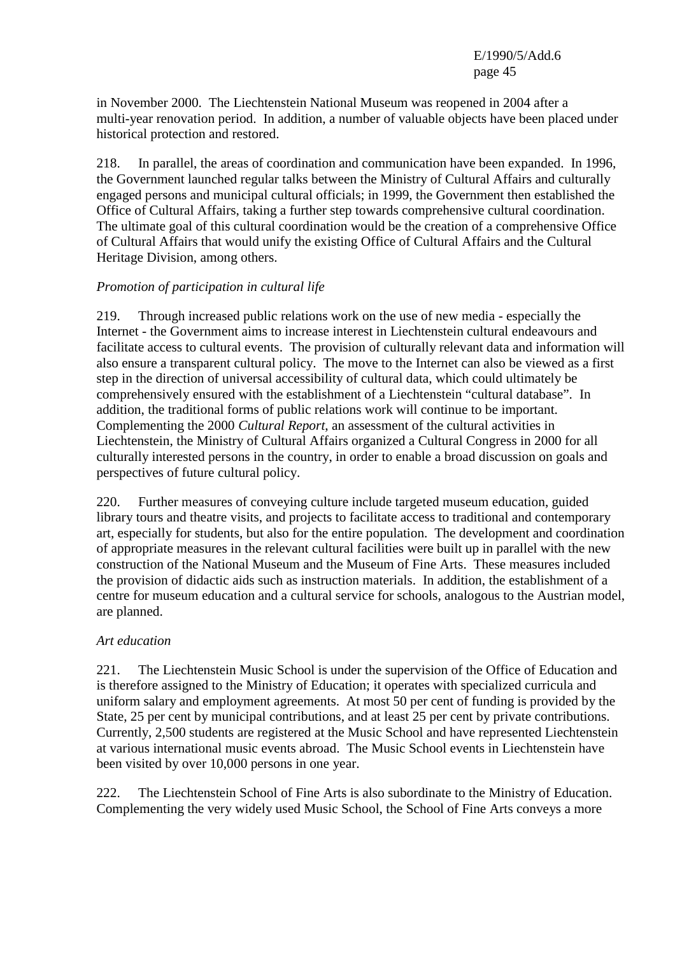in November 2000. The Liechtenstein National Museum was reopened in 2004 after a multi-year renovation period. In addition, a number of valuable objects have been placed under historical protection and restored.

218. In parallel, the areas of coordination and communication have been expanded. In 1996, the Government launched regular talks between the Ministry of Cultural Affairs and culturally engaged persons and municipal cultural officials; in 1999, the Government then established the Office of Cultural Affairs, taking a further step towards comprehensive cultural coordination. The ultimate goal of this cultural coordination would be the creation of a comprehensive Office of Cultural Affairs that would unify the existing Office of Cultural Affairs and the Cultural Heritage Division, among others.

## *Promotion of participation in cultural life*

219. Through increased public relations work on the use of new media - especially the Internet - the Government aims to increase interest in Liechtenstein cultural endeavours and facilitate access to cultural events. The provision of culturally relevant data and information will also ensure a transparent cultural policy. The move to the Internet can also be viewed as a first step in the direction of universal accessibility of cultural data, which could ultimately be comprehensively ensured with the establishment of a Liechtenstein "cultural database". In addition, the traditional forms of public relations work will continue to be important. Complementing the 2000 *Cultural Report*, an assessment of the cultural activities in Liechtenstein, the Ministry of Cultural Affairs organized a Cultural Congress in 2000 for all culturally interested persons in the country, in order to enable a broad discussion on goals and perspectives of future cultural policy.

220. Further measures of conveying culture include targeted museum education, guided library tours and theatre visits, and projects to facilitate access to traditional and contemporary art, especially for students, but also for the entire population. The development and coordination of appropriate measures in the relevant cultural facilities were built up in parallel with the new construction of the National Museum and the Museum of Fine Arts. These measures included the provision of didactic aids such as instruction materials. In addition, the establishment of a centre for museum education and a cultural service for schools, analogous to the Austrian model, are planned.

## *Art education*

221. The Liechtenstein Music School is under the supervision of the Office of Education and is therefore assigned to the Ministry of Education; it operates with specialized curricula and uniform salary and employment agreements. At most 50 per cent of funding is provided by the State, 25 per cent by municipal contributions, and at least 25 per cent by private contributions. Currently, 2,500 students are registered at the Music School and have represented Liechtenstein at various international music events abroad. The Music School events in Liechtenstein have been visited by over 10,000 persons in one year.

222. The Liechtenstein School of Fine Arts is also subordinate to the Ministry of Education. Complementing the very widely used Music School, the School of Fine Arts conveys a more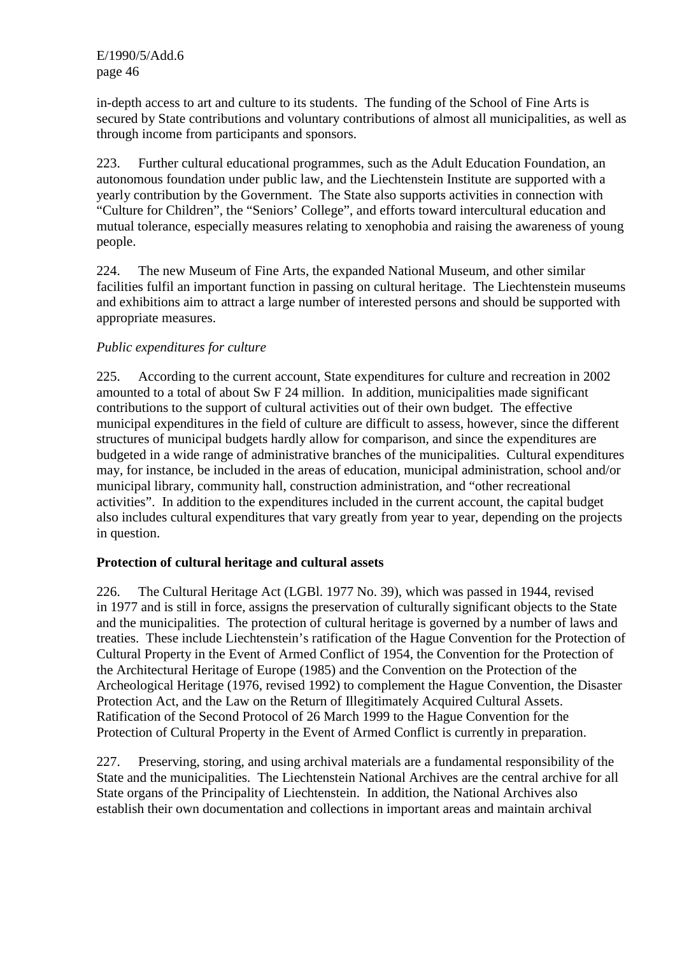in-depth access to art and culture to its students. The funding of the School of Fine Arts is secured by State contributions and voluntary contributions of almost all municipalities, as well as through income from participants and sponsors.

223. Further cultural educational programmes, such as the Adult Education Foundation, an autonomous foundation under public law, and the Liechtenstein Institute are supported with a yearly contribution by the Government. The State also supports activities in connection with "Culture for Children", the "Seniors' College", and efforts toward intercultural education and mutual tolerance, especially measures relating to xenophobia and raising the awareness of young people.

224. The new Museum of Fine Arts, the expanded National Museum, and other similar facilities fulfil an important function in passing on cultural heritage. The Liechtenstein museums and exhibitions aim to attract a large number of interested persons and should be supported with appropriate measures.

## *Public expenditures for culture*

225. According to the current account, State expenditures for culture and recreation in 2002 amounted to a total of about Sw F 24 million. In addition, municipalities made significant contributions to the support of cultural activities out of their own budget. The effective municipal expenditures in the field of culture are difficult to assess, however, since the different structures of municipal budgets hardly allow for comparison, and since the expenditures are budgeted in a wide range of administrative branches of the municipalities. Cultural expenditures may, for instance, be included in the areas of education, municipal administration, school and/or municipal library, community hall, construction administration, and "other recreational activities". In addition to the expenditures included in the current account, the capital budget also includes cultural expenditures that vary greatly from year to year, depending on the projects in question.

## **Protection of cultural heritage and cultural assets**

226. The Cultural Heritage Act (LGBl. 1977 No. 39), which was passed in 1944, revised in 1977 and is still in force, assigns the preservation of culturally significant objects to the State and the municipalities. The protection of cultural heritage is governed by a number of laws and treaties. These include Liechtenstein's ratification of the Hague Convention for the Protection of Cultural Property in the Event of Armed Conflict of 1954, the Convention for the Protection of the Architectural Heritage of Europe (1985) and the Convention on the Protection of the Archeological Heritage (1976, revised 1992) to complement the Hague Convention, the Disaster Protection Act, and the Law on the Return of Illegitimately Acquired Cultural Assets. Ratification of the Second Protocol of 26 March 1999 to the Hague Convention for the Protection of Cultural Property in the Event of Armed Conflict is currently in preparation.

227. Preserving, storing, and using archival materials are a fundamental responsibility of the State and the municipalities. The Liechtenstein National Archives are the central archive for all State organs of the Principality of Liechtenstein. In addition, the National Archives also establish their own documentation and collections in important areas and maintain archival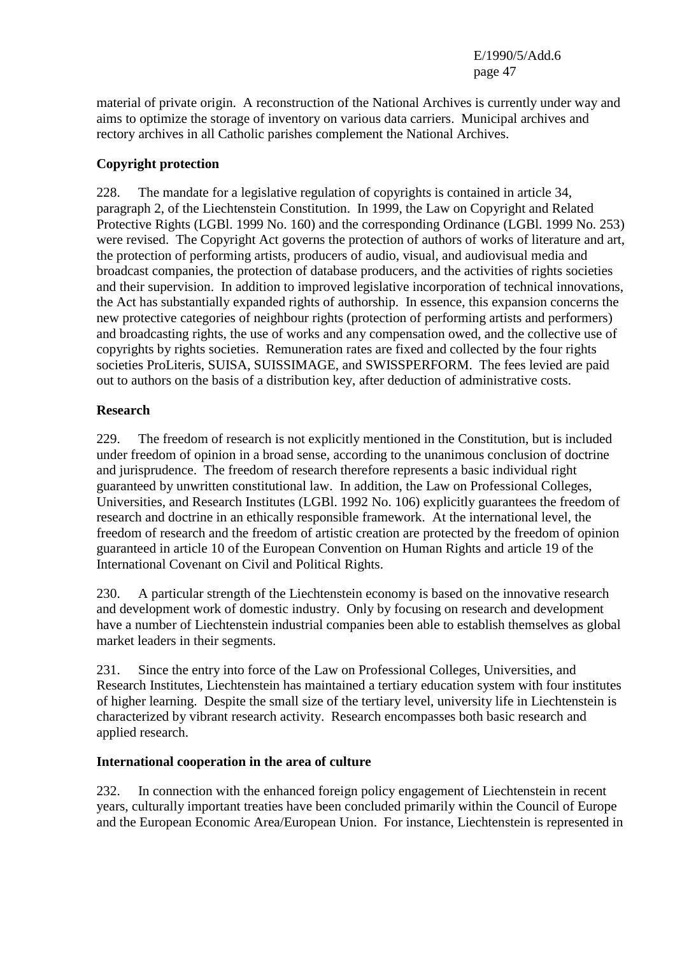material of private origin. A reconstruction of the National Archives is currently under way and aims to optimize the storage of inventory on various data carriers. Municipal archives and rectory archives in all Catholic parishes complement the National Archives.

## **Copyright protection**

228. The mandate for a legislative regulation of copyrights is contained in article 34, paragraph 2, of the Liechtenstein Constitution. In 1999, the Law on Copyright and Related Protective Rights (LGBl. 1999 No. 160) and the corresponding Ordinance (LGBl. 1999 No. 253) were revised. The Copyright Act governs the protection of authors of works of literature and art, the protection of performing artists, producers of audio, visual, and audiovisual media and broadcast companies, the protection of database producers, and the activities of rights societies and their supervision. In addition to improved legislative incorporation of technical innovations, the Act has substantially expanded rights of authorship. In essence, this expansion concerns the new protective categories of neighbour rights (protection of performing artists and performers) and broadcasting rights, the use of works and any compensation owed, and the collective use of copyrights by rights societies. Remuneration rates are fixed and collected by the four rights societies ProLiteris, SUISA, SUISSIMAGE, and SWISSPERFORM. The fees levied are paid out to authors on the basis of a distribution key, after deduction of administrative costs.

## **Research**

229. The freedom of research is not explicitly mentioned in the Constitution, but is included under freedom of opinion in a broad sense, according to the unanimous conclusion of doctrine and jurisprudence. The freedom of research therefore represents a basic individual right guaranteed by unwritten constitutional law. In addition, the Law on Professional Colleges, Universities, and Research Institutes (LGBl. 1992 No. 106) explicitly guarantees the freedom of research and doctrine in an ethically responsible framework. At the international level, the freedom of research and the freedom of artistic creation are protected by the freedom of opinion guaranteed in article 10 of the European Convention on Human Rights and article 19 of the International Covenant on Civil and Political Rights.

230. A particular strength of the Liechtenstein economy is based on the innovative research and development work of domestic industry. Only by focusing on research and development have a number of Liechtenstein industrial companies been able to establish themselves as global market leaders in their segments.

231. Since the entry into force of the Law on Professional Colleges, Universities, and Research Institutes, Liechtenstein has maintained a tertiary education system with four institutes of higher learning. Despite the small size of the tertiary level, university life in Liechtenstein is characterized by vibrant research activity. Research encompasses both basic research and applied research.

## **International cooperation in the area of culture**

232. In connection with the enhanced foreign policy engagement of Liechtenstein in recent years, culturally important treaties have been concluded primarily within the Council of Europe and the European Economic Area/European Union. For instance, Liechtenstein is represented in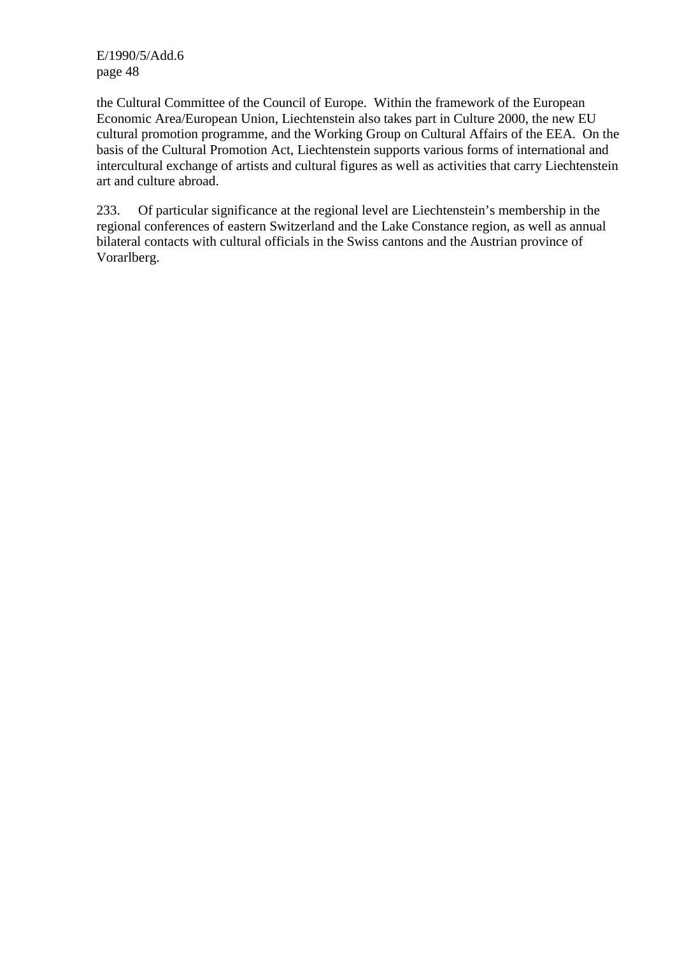the Cultural Committee of the Council of Europe. Within the framework of the European Economic Area/European Union, Liechtenstein also takes part in Culture 2000, the new EU cultural promotion programme, and the Working Group on Cultural Affairs of the EEA. On the basis of the Cultural Promotion Act, Liechtenstein supports various forms of international and intercultural exchange of artists and cultural figures as well as activities that carry Liechtenstein art and culture abroad.

233. Of particular significance at the regional level are Liechtenstein's membership in the regional conferences of eastern Switzerland and the Lake Constance region, as well as annual bilateral contacts with cultural officials in the Swiss cantons and the Austrian province of Vorarlberg.